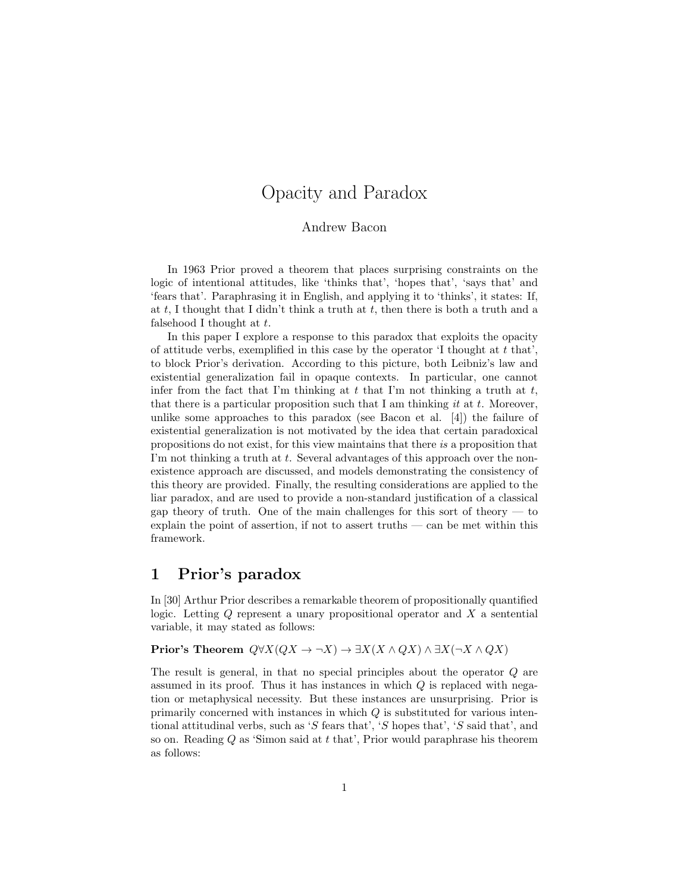# Opacity and Paradox

#### Andrew Bacon

In 1963 Prior proved a theorem that places surprising constraints on the logic of intentional attitudes, like 'thinks that', 'hopes that', 'says that' and 'fears that'. Paraphrasing it in English, and applying it to 'thinks', it states: If, at t, I thought that I didn't think a truth at t, then there is both a truth and a falsehood I thought at  $t$ .

In this paper I explore a response to this paradox that exploits the opacity of attitude verbs, exemplified in this case by the operator  $\mathcal{I}$  thought at t that', to block Prior's derivation. According to this picture, both Leibniz's law and existential generalization fail in opaque contexts. In particular, one cannot infer from the fact that I'm thinking at  $t$  that I'm not thinking a truth at  $t$ , that there is a particular proposition such that I am thinking it at t. Moreover, unlike some approaches to this paradox (see Bacon et al. [4]) the failure of existential generalization is not motivated by the idea that certain paradoxical propositions do not exist, for this view maintains that there is a proposition that I'm not thinking a truth at  $t$ . Several advantages of this approach over the nonexistence approach are discussed, and models demonstrating the consistency of this theory are provided. Finally, the resulting considerations are applied to the liar paradox, and are used to provide a non-standard justification of a classical gap theory of truth. One of the main challenges for this sort of theory  $-$  to explain the point of assertion, if not to assert truths — can be met within this framework.

### 1 Prior's paradox

In [30] Arthur Prior describes a remarkable theorem of propositionally quantified logic. Letting  $Q$  represent a unary propositional operator and  $X$  a sentential variable, it may stated as follows:

### Prior's Theorem  $Q\forall X(QX \to \neg X) \to \exists X(X \land QX) \land \exists X(\neg X \land QX)$

The result is general, in that no special principles about the operator Q are assumed in its proof. Thus it has instances in which  $Q$  is replaced with negation or metaphysical necessity. But these instances are unsurprising. Prior is primarily concerned with instances in which  $Q$  is substituted for various intentional attitudinal verbs, such as 'S fears that', 'S hopes that', 'S said that', and so on. Reading  $Q$  as 'Simon said at  $t$  that', Prior would paraphrase his theorem as follows: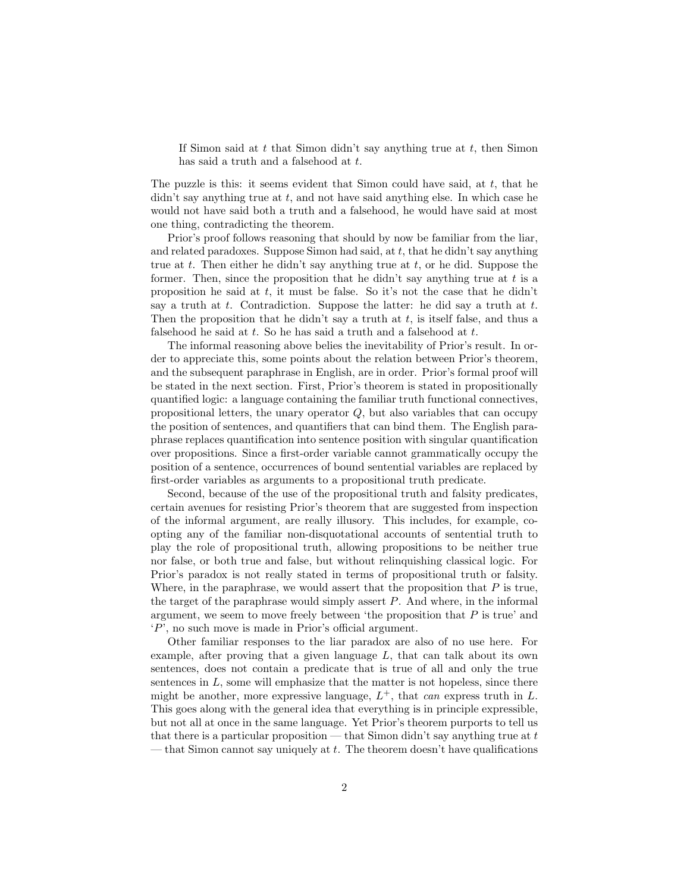If Simon said at  $t$  that Simon didn't say anything true at  $t$ , then Simon has said a truth and a falsehood at t.

The puzzle is this: it seems evident that Simon could have said, at  $t$ , that he didn't say anything true at  $t$ , and not have said anything else. In which case he would not have said both a truth and a falsehood, he would have said at most one thing, contradicting the theorem.

Prior's proof follows reasoning that should by now be familiar from the liar, and related paradoxes. Suppose Simon had said, at  $t$ , that he didn't say anything true at t. Then either he didn't say anything true at t, or he did. Suppose the former. Then, since the proposition that he didn't say anything true at  $t$  is a proposition he said at  $t$ , it must be false. So it's not the case that he didn't say a truth at t. Contradiction. Suppose the latter: he did say a truth at t. Then the proposition that he didn't say a truth at  $t$ , is itself false, and thus a falsehood he said at  $t$ . So he has said a truth and a falsehood at  $t$ .

The informal reasoning above belies the inevitability of Prior's result. In order to appreciate this, some points about the relation between Prior's theorem, and the subsequent paraphrase in English, are in order. Prior's formal proof will be stated in the next section. First, Prior's theorem is stated in propositionally quantified logic: a language containing the familiar truth functional connectives, propositional letters, the unary operator  $Q$ , but also variables that can occupy the position of sentences, and quantifiers that can bind them. The English paraphrase replaces quantification into sentence position with singular quantification over propositions. Since a first-order variable cannot grammatically occupy the position of a sentence, occurrences of bound sentential variables are replaced by first-order variables as arguments to a propositional truth predicate.

Second, because of the use of the propositional truth and falsity predicates, certain avenues for resisting Prior's theorem that are suggested from inspection of the informal argument, are really illusory. This includes, for example, coopting any of the familiar non-disquotational accounts of sentential truth to play the role of propositional truth, allowing propositions to be neither true nor false, or both true and false, but without relinquishing classical logic. For Prior's paradox is not really stated in terms of propositional truth or falsity. Where, in the paraphrase, we would assert that the proposition that  $P$  is true, the target of the paraphrase would simply assert  $P$ . And where, in the informal argument, we seem to move freely between 'the proposition that  $P$  is true' and 'P', no such move is made in Prior's official argument.

Other familiar responses to the liar paradox are also of no use here. For example, after proving that a given language  $L$ , that can talk about its own sentences, does not contain a predicate that is true of all and only the true sentences in  $L$ , some will emphasize that the matter is not hopeless, since there might be another, more expressive language,  $L^+$ , that can express truth in L. This goes along with the general idea that everything is in principle expressible, but not all at once in the same language. Yet Prior's theorem purports to tell us that there is a particular proposition — that Simon didn't say anything true at  $t$ — that Simon cannot say uniquely at  $t$ . The theorem doesn't have qualifications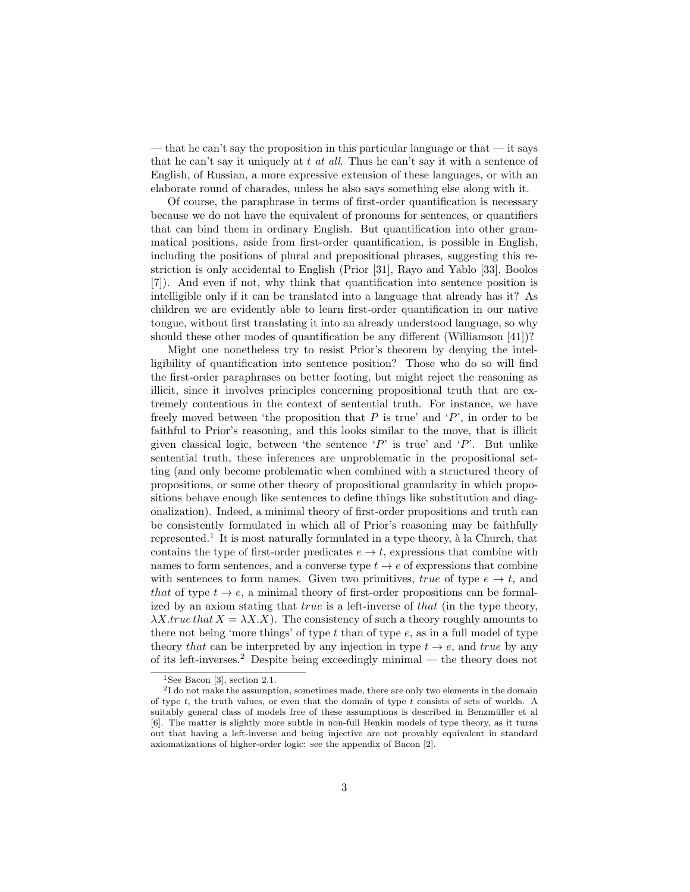— that he can't say the proposition in this particular language or that — it says that he can't say it uniquely at  $t$  at all. Thus he can't say it with a sentence of English, of Russian, a more expressive extension of these languages, or with an elaborate round of charades, unless he also says something else along with it.

Of course, the paraphrase in terms of first-order quantification is necessary because we do not have the equivalent of pronouns for sentences, or quantifiers that can bind them in ordinary English. But quantification into other grammatical positions, aside from first-order quantification, is possible in English, including the positions of plural and prepositional phrases, suggesting this restriction is only accidental to English (Prior [31], Rayo and Yablo [33], Boolos [7]). And even if not, why think that quantification into sentence position is intelligible only if it can be translated into a language that already has it? As children we are evidently able to learn first-order quantification in our native tongue, without first translating it into an already understood language, so why should these other modes of quantification be any different (Williamson [41])?

Might one nonetheless try to resist Prior's theorem by denying the intelligibility of quantification into sentence position? Those who do so will find the first-order paraphrases on better footing, but might reject the reasoning as illicit, since it involves principles concerning propositional truth that are extremely contentious in the context of sentential truth. For instance, we have freely moved between 'the proposition that  $P$  is true' and ' $P$ ', in order to be faithful to Prior's reasoning, and this looks similar to the move, that is illicit given classical logic, between 'the sentence ' $P$ ' is true' and ' $P$ '. But unlike sentential truth, these inferences are unproblematic in the propositional setting (and only become problematic when combined with a structured theory of propositions, or some other theory of propositional granularity in which propositions behave enough like sentences to define things like substitution and diagonalization). Indeed, a minimal theory of first-order propositions and truth can be consistently formulated in which all of Prior's reasoning may be faithfully represented.<sup>1</sup> It is most naturally formulated in a type theory,  $\grave{a}$  la Church, that contains the type of first-order predicates  $e \to t$ , expressions that combine with names to form sentences, and a converse type  $t \to e$  of expressions that combine with sentences to form names. Given two primitives, true of type  $e \to t$ , and that of type  $t \to e$ , a minimal theory of first-order propositions can be formalized by an axiom stating that *true* is a left-inverse of *that* (in the type theory,  $\lambda X$ .true that  $X = \lambda X.X$ ). The consistency of such a theory roughly amounts to there not being 'more things' of type  $t$  than of type  $e$ , as in a full model of type theory that can be interpreted by any injection in type  $t \to e$ , and true by any of its left-inverses.<sup>2</sup> Despite being exceedingly minimal — the theory does not

<sup>&</sup>lt;sup>1</sup>See Bacon [3], section 2.1.

<sup>&</sup>lt;sup>2</sup>I do not make the assumption, sometimes made, there are only two elements in the domain of type  $t$ , the truth values, or even that the domain of type  $t$  consists of sets of worlds. A suitably general class of models free of these assumptions is described in Benzmüller et al [6]. The matter is slightly more subtle in non-full Henkin models of type theory, as it turns out that having a left-inverse and being injective are not provably equivalent in standard axiomatizations of higher-order logic: see the appendix of Bacon [2].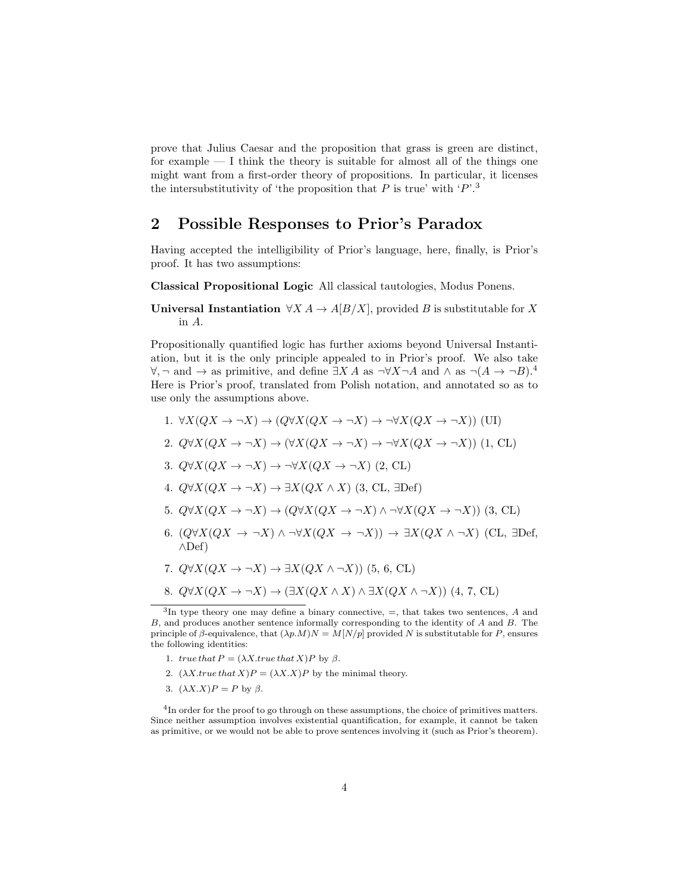prove that Julius Caesar and the proposition that grass is green are distinct, for example — I think the theory is suitable for almost all of the things one might want from a first-order theory of propositions. In particular, it licenses the intersubstitutivity of 'the proposition that  $P$  is true' with ' $P^{\dagger}$ .<sup>3</sup>

## 2 Possible Responses to Prior's Paradox

Having accepted the intelligibility of Prior's language, here, finally, is Prior's proof. It has two assumptions:

Classical Propositional Logic All classical tautologies, Modus Ponens.

Universal Instantiation  $\forall X A \rightarrow A[B/X]$ , provided B is substitutable for X in A.

Propositionally quantified logic has further axioms beyond Universal Instantiation, but it is the only principle appealed to in Prior's proof. We also take  $\forall$ ,  $\neg$  and  $\rightarrow$  as primitive, and define  $\exists X A$  as  $\neg \forall X \neg A$  and  $\land$  as  $\neg (A \rightarrow \neg B).$ <sup>4</sup> Here is Prior's proof, translated from Polish notation, and annotated so as to use only the assumptions above.

- 1.  $\forall X(QX \to \neg X) \to (Q \forall X(QX \to \neg X) \to \neg \forall X(QX \to \neg X))$  (UI)
- 2.  $Q\forall X(QX \to \neg X) \to (\forall X(QX \to \neg X) \to \neg \forall X(QX \to \neg X))$  (1, CL)
- 3.  $Q\forall X(QX \to \neg X) \to \neg \forall X(QX \to \neg X)$  (2, CL)
- 4.  $Q\forall X(QX \rightarrow \neg X) \rightarrow \exists X(QX \land X)$  (3, CL,  $\exists$ Def)
- 5.  $Q\forall X(QX \to \neg X) \to (Q\forall X(QX \to \neg X) \land \neg \forall X(QX \to \neg X))$  (3, CL)
- 6.  $(Q\forall X(QX \rightarrow \neg X) \land \neg \forall X(QX \rightarrow \neg X)) \rightarrow \exists X(QX \land \neg X)$  (CL,  $\exists$ Def, ∧Def)
- 7.  $Q\forall X(QX \rightarrow \neg X) \rightarrow \exists X(QX \land \neg X)$  (5, 6, CL)
- 8.  $Q\forall X(QX \rightarrow \neg X) \rightarrow (\exists X(QX \land X) \land \exists X(QX \land \neg X))$  (4, 7, CL)

- 1. true that  $P = (\lambda X. true that X)P$  by  $\beta$ .
- 2.  $(\lambda X. true that X)P = (\lambda X.X)P$  by the minimal theory.
- 3.  $(\lambda X.X)P = P$  by  $\beta$ .

<sup>4</sup>In order for the proof to go through on these assumptions, the choice of primitives matters. Since neither assumption involves existential quantification, for example, it cannot be taken as primitive, or we would not be able to prove sentences involving it (such as Prior's theorem).

<sup>&</sup>lt;sup>3</sup>In type theory one may define a binary connective,  $=$ , that takes two sentences, A and B, and produces another sentence informally corresponding to the identity of A and B. The principle of β-equivalence, that  $(\lambda p.M)N = M[N/p]$  provided N is substitutable for P, ensures the following identities: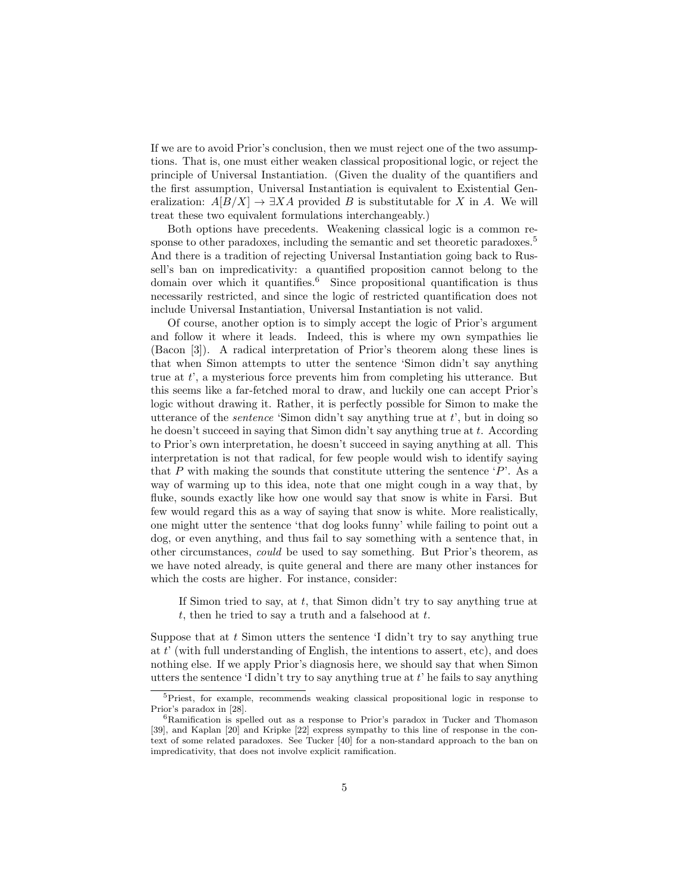If we are to avoid Prior's conclusion, then we must reject one of the two assumptions. That is, one must either weaken classical propositional logic, or reject the principle of Universal Instantiation. (Given the duality of the quantifiers and the first assumption, Universal Instantiation is equivalent to Existential Generalization:  $A[B/X] \to \exists X A$  provided B is substitutable for X in A. We will treat these two equivalent formulations interchangeably.)

Both options have precedents. Weakening classical logic is a common response to other paradoxes, including the semantic and set theoretic paradoxes.<sup>5</sup> And there is a tradition of rejecting Universal Instantiation going back to Russell's ban on impredicativity: a quantified proposition cannot belong to the domain over which it quantifies.<sup>6</sup> Since propositional quantification is thus necessarily restricted, and since the logic of restricted quantification does not include Universal Instantiation, Universal Instantiation is not valid.

Of course, another option is to simply accept the logic of Prior's argument and follow it where it leads. Indeed, this is where my own sympathies lie (Bacon [3]). A radical interpretation of Prior's theorem along these lines is that when Simon attempts to utter the sentence 'Simon didn't say anything true at  $t'$ , a mysterious force prevents him from completing his utterance. But this seems like a far-fetched moral to draw, and luckily one can accept Prior's logic without drawing it. Rather, it is perfectly possible for Simon to make the utterance of the *sentence* 'Simon didn't say anything true at  $t'$ , but in doing so he doesn't succeed in saying that Simon didn't say anything true at t. According to Prior's own interpretation, he doesn't succeed in saying anything at all. This interpretation is not that radical, for few people would wish to identify saying that  $P$  with making the sounds that constitute uttering the sentence  $\langle P \rangle$ . As a way of warming up to this idea, note that one might cough in a way that, by fluke, sounds exactly like how one would say that snow is white in Farsi. But few would regard this as a way of saying that snow is white. More realistically, one might utter the sentence 'that dog looks funny' while failing to point out a dog, or even anything, and thus fail to say something with a sentence that, in other circumstances, could be used to say something. But Prior's theorem, as we have noted already, is quite general and there are many other instances for which the costs are higher. For instance, consider:

If Simon tried to say, at  $t$ , that Simon didn't try to say anything true at t, then he tried to say a truth and a falsehood at  $t$ .

Suppose that at  $t$  Simon utters the sentence  $\mathcal{I}$  didn't try to say anything true at  $t'$  (with full understanding of English, the intentions to assert, etc), and does nothing else. If we apply Prior's diagnosis here, we should say that when Simon utters the sentence 'I didn't try to say anything true at  $t'$  he fails to say anything

<sup>5</sup>Priest, for example, recommends weaking classical propositional logic in response to Prior's paradox in [28].

 $6$ Ramification is spelled out as a response to Prior's paradox in Tucker and Thomason [39], and Kaplan [20] and Kripke [22] express sympathy to this line of response in the context of some related paradoxes. See Tucker [40] for a non-standard approach to the ban on impredicativity, that does not involve explicit ramification.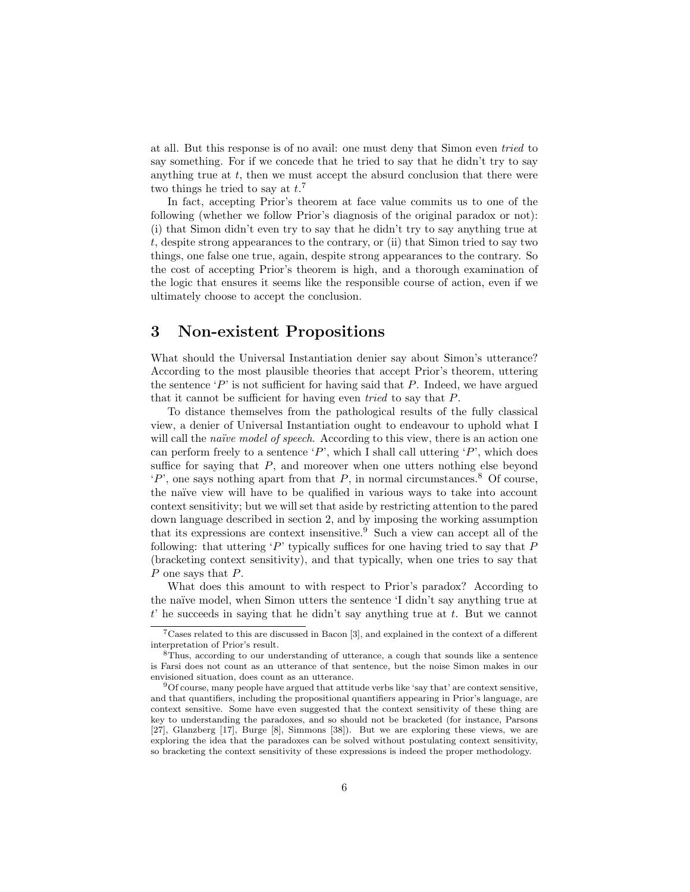at all. But this response is of no avail: one must deny that Simon even tried to say something. For if we concede that he tried to say that he didn't try to say anything true at  $t$ , then we must accept the absurd conclusion that there were two things he tried to say at  $t.^7$ 

In fact, accepting Prior's theorem at face value commits us to one of the following (whether we follow Prior's diagnosis of the original paradox or not): (i) that Simon didn't even try to say that he didn't try to say anything true at t, despite strong appearances to the contrary, or (ii) that Simon tried to say two things, one false one true, again, despite strong appearances to the contrary. So the cost of accepting Prior's theorem is high, and a thorough examination of the logic that ensures it seems like the responsible course of action, even if we ultimately choose to accept the conclusion.

### 3 Non-existent Propositions

What should the Universal Instantiation denier say about Simon's utterance? According to the most plausible theories that accept Prior's theorem, uttering the sentence  $\langle P \rangle$  is not sufficient for having said that P. Indeed, we have argued that it cannot be sufficient for having even tried to say that P.

To distance themselves from the pathological results of the fully classical view, a denier of Universal Instantiation ought to endeavour to uphold what I will call the *naïve model of speech*. According to this view, there is an action one can perform freely to a sentence 'P', which I shall call uttering 'P', which does suffice for saying that  $P$ , and moreover when one utters nothing else beyond  $P'$ , one says nothing apart from that P, in normal circumstances.<sup>8</sup> Of course, the naïve view will have to be qualified in various ways to take into account context sensitivity; but we will set that aside by restricting attention to the pared down language described in section 2, and by imposing the working assumption that its expressions are context insensitive.<sup>9</sup> Such a view can accept all of the following: that uttering  $\langle P \rangle$  typically suffices for one having tried to say that P (bracketing context sensitivity), and that typically, when one tries to say that P one says that P.

What does this amount to with respect to Prior's paradox? According to the naïve model, when Simon utters the sentence 'I didn't say anything true at  $t'$  he succeeds in saying that he didn't say anything true at  $t$ . But we cannot

<sup>7</sup>Cases related to this are discussed in Bacon [3], and explained in the context of a different interpretation of Prior's result.

<sup>8</sup>Thus, according to our understanding of utterance, a cough that sounds like a sentence is Farsi does not count as an utterance of that sentence, but the noise Simon makes in our envisioned situation, does count as an utterance.

<sup>9</sup>Of course, many people have argued that attitude verbs like 'say that' are context sensitive, and that quantifiers, including the propositional quantifiers appearing in Prior's language, are context sensitive. Some have even suggested that the context sensitivity of these thing are key to understanding the paradoxes, and so should not be bracketed (for instance, Parsons [27], Glanzberg [17], Burge [8], Simmons [38]). But we are exploring these views, we are exploring the idea that the paradoxes can be solved without postulating context sensitivity, so bracketing the context sensitivity of these expressions is indeed the proper methodology.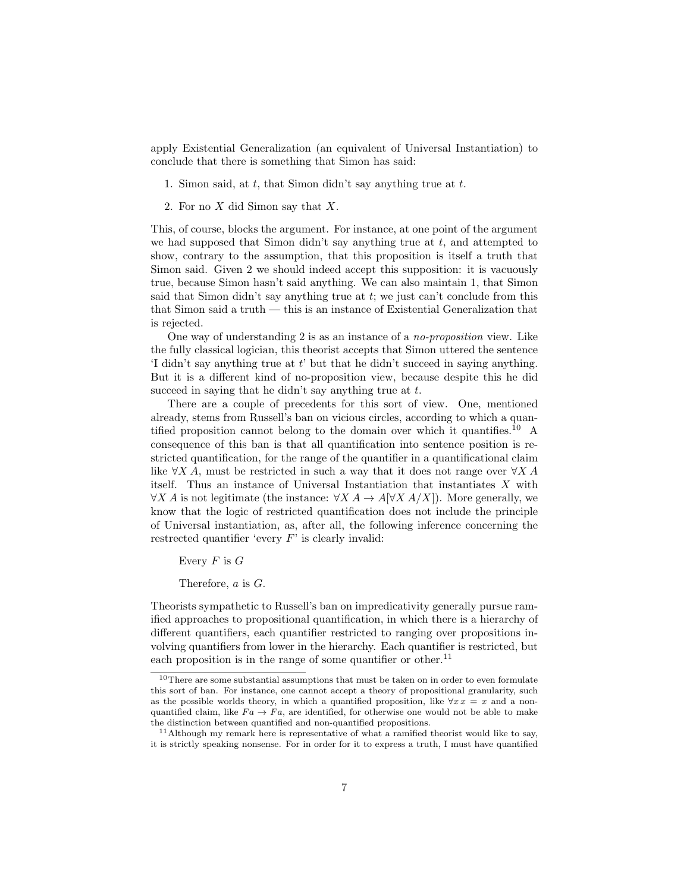apply Existential Generalization (an equivalent of Universal Instantiation) to conclude that there is something that Simon has said:

- 1. Simon said, at  $t$ , that Simon didn't say anything true at  $t$ .
- 2. For no X did Simon say that X.

This, of course, blocks the argument. For instance, at one point of the argument we had supposed that Simon didn't say anything true at  $t$ , and attempted to show, contrary to the assumption, that this proposition is itself a truth that Simon said. Given 2 we should indeed accept this supposition: it is vacuously true, because Simon hasn't said anything. We can also maintain 1, that Simon said that Simon didn't say anything true at  $t$ ; we just can't conclude from this that Simon said a truth — this is an instance of Existential Generalization that is rejected.

One way of understanding 2 is as an instance of a no-proposition view. Like the fully classical logician, this theorist accepts that Simon uttered the sentence 'I didn't say anything true at t' but that he didn't succeed in saying anything. But it is a different kind of no-proposition view, because despite this he did succeed in saying that he didn't say anything true at  $t$ .

There are a couple of precedents for this sort of view. One, mentioned already, stems from Russell's ban on vicious circles, according to which a quantified proposition cannot belong to the domain over which it quantifies.<sup>10</sup> A consequence of this ban is that all quantification into sentence position is restricted quantification, for the range of the quantifier in a quantificational claim like  $\forall X A$ , must be restricted in such a way that it does not range over  $\forall X A$ itself. Thus an instance of Universal Instantiation that instantiates X with  $\forall X A$  is not legitimate (the instance:  $\forall X A \rightarrow A[\forall X A/X]$ ). More generally, we know that the logic of restricted quantification does not include the principle of Universal instantiation, as, after all, the following inference concerning the restrected quantifier 'every  $F$ ' is clearly invalid:

Every  $F$  is  $G$ 

Therefore, a is G.

Theorists sympathetic to Russell's ban on impredicativity generally pursue ramified approaches to propositional quantification, in which there is a hierarchy of different quantifiers, each quantifier restricted to ranging over propositions involving quantifiers from lower in the hierarchy. Each quantifier is restricted, but each proposition is in the range of some quantifier or other.<sup>11</sup>

 $^{10}\mathrm{There}$  are some substantial assumptions that must be taken on in order to even formulate this sort of ban. For instance, one cannot accept a theory of propositional granularity, such as the possible worlds theory, in which a quantified proposition, like  $\forall x \, x = x$  and a nonquantified claim, like  $Fa \to Fa$ , are identified, for otherwise one would not be able to make the distinction between quantified and non-quantified propositions.

 $11$ Although my remark here is representative of what a ramified theorist would like to say, it is strictly speaking nonsense. For in order for it to express a truth, I must have quantified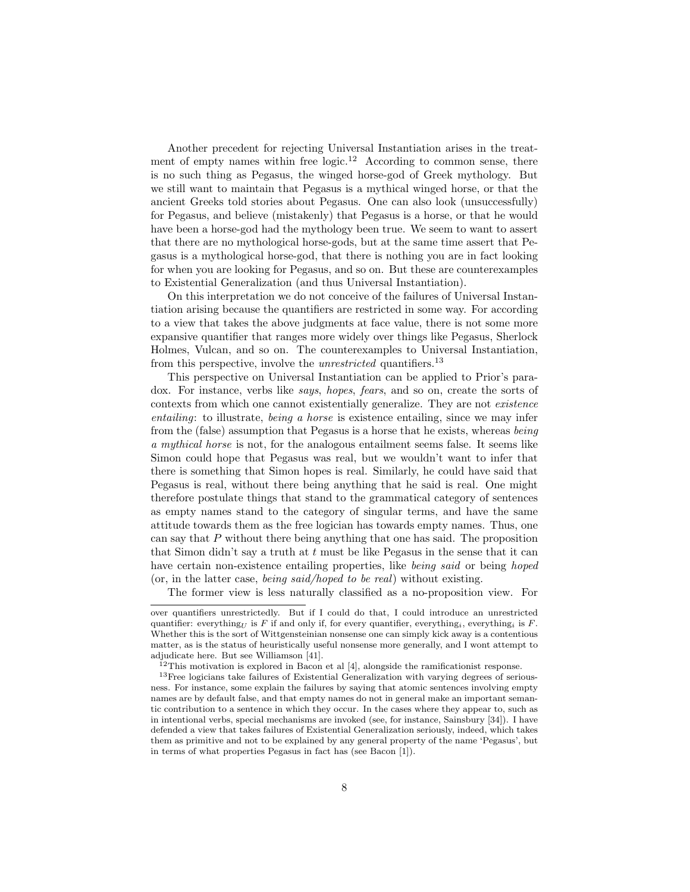Another precedent for rejecting Universal Instantiation arises in the treatment of empty names within free  $logic.12$  According to common sense, there is no such thing as Pegasus, the winged horse-god of Greek mythology. But we still want to maintain that Pegasus is a mythical winged horse, or that the ancient Greeks told stories about Pegasus. One can also look (unsuccessfully) for Pegasus, and believe (mistakenly) that Pegasus is a horse, or that he would have been a horse-god had the mythology been true. We seem to want to assert that there are no mythological horse-gods, but at the same time assert that Pegasus is a mythological horse-god, that there is nothing you are in fact looking for when you are looking for Pegasus, and so on. But these are counterexamples to Existential Generalization (and thus Universal Instantiation).

On this interpretation we do not conceive of the failures of Universal Instantiation arising because the quantifiers are restricted in some way. For according to a view that takes the above judgments at face value, there is not some more expansive quantifier that ranges more widely over things like Pegasus, Sherlock Holmes, Vulcan, and so on. The counterexamples to Universal Instantiation, from this perspective, involve the *unrestricted* quantifiers.<sup>13</sup>

This perspective on Universal Instantiation can be applied to Prior's paradox. For instance, verbs like says, hopes, fears, and so on, create the sorts of contexts from which one cannot existentially generalize. They are not existence entailing: to illustrate, being a horse is existence entailing, since we may infer from the (false) assumption that Pegasus is a horse that he exists, whereas being a mythical horse is not, for the analogous entailment seems false. It seems like Simon could hope that Pegasus was real, but we wouldn't want to infer that there is something that Simon hopes is real. Similarly, he could have said that Pegasus is real, without there being anything that he said is real. One might therefore postulate things that stand to the grammatical category of sentences as empty names stand to the category of singular terms, and have the same attitude towards them as the free logician has towards empty names. Thus, one can say that P without there being anything that one has said. The proposition that Simon didn't say a truth at  $t$  must be like Pegasus in the sense that it can have certain non-existence entailing properties, like *being said* or being *hoped* (or, in the latter case, being said/hoped to be real) without existing.

The former view is less naturally classified as a no-proposition view. For

over quantifiers unrestrictedly. But if I could do that, I could introduce an unrestricted quantifier: everything<sub>U</sub> is F if and only if, for every quantifier, everything<sub>i</sub>, everything<sub>i</sub> is F. Whether this is the sort of Wittgensteinian nonsense one can simply kick away is a contentious matter, as is the status of heuristically useful nonsense more generally, and I wont attempt to adjudicate here. But see Williamson [41].

 $12$ This motivation is explored in Bacon et al [4], alongside the ramificationist response.

<sup>&</sup>lt;sup>13</sup>Free logicians take failures of Existential Generalization with varying degrees of seriousness. For instance, some explain the failures by saying that atomic sentences involving empty names are by default false, and that empty names do not in general make an important semantic contribution to a sentence in which they occur. In the cases where they appear to, such as in intentional verbs, special mechanisms are invoked (see, for instance, Sainsbury [34]). I have defended a view that takes failures of Existential Generalization seriously, indeed, which takes them as primitive and not to be explained by any general property of the name 'Pegasus', but in terms of what properties Pegasus in fact has (see Bacon [1]).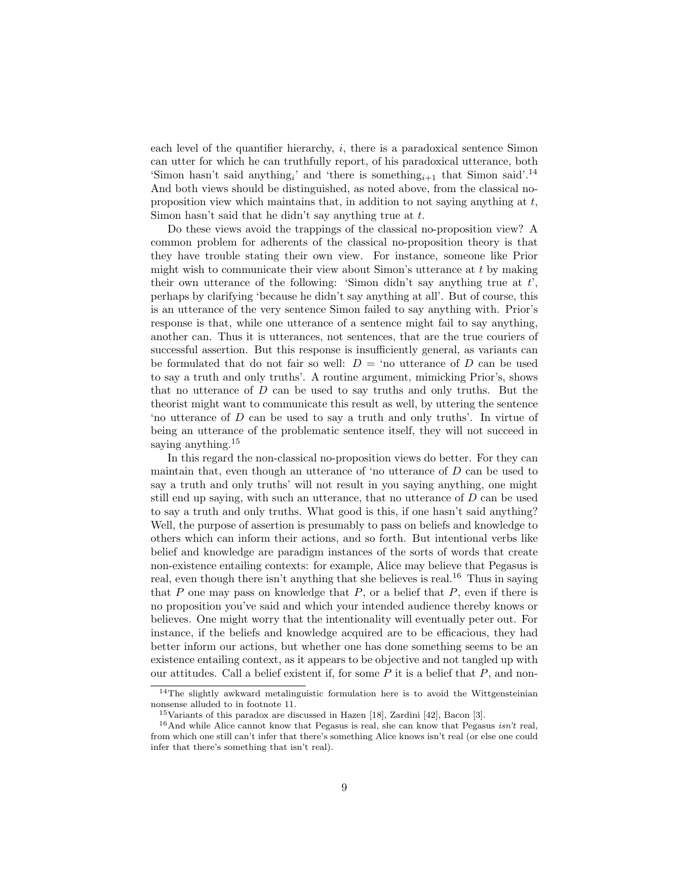each level of the quantifier hierarchy, i, there is a paradoxical sentence Simon can utter for which he can truthfully report, of his paradoxical utterance, both 'Simon hasn't said anything<sub>i</sub>' and 'there is something<sub>i+1</sub> that Simon said'.<sup>14</sup> And both views should be distinguished, as noted above, from the classical noproposition view which maintains that, in addition to not saying anything at  $t$ , Simon hasn't said that he didn't say anything true at t.

Do these views avoid the trappings of the classical no-proposition view? A common problem for adherents of the classical no-proposition theory is that they have trouble stating their own view. For instance, someone like Prior might wish to communicate their view about Simon's utterance at  $t$  by making their own utterance of the following: 'Simon didn't say anything true at  $t'$ , perhaps by clarifying 'because he didn't say anything at all'. But of course, this is an utterance of the very sentence Simon failed to say anything with. Prior's response is that, while one utterance of a sentence might fail to say anything, another can. Thus it is utterances, not sentences, that are the true couriers of successful assertion. But this response is insufficiently general, as variants can be formulated that do not fair so well:  $D = \text{`no utterance of } D \text{ can be used}$ to say a truth and only truths'. A routine argument, mimicking Prior's, shows that no utterance of  $D$  can be used to say truths and only truths. But the theorist might want to communicate this result as well, by uttering the sentence 'no utterance of D can be used to say a truth and only truths'. In virtue of being an utterance of the problematic sentence itself, they will not succeed in saying anything.<sup>15</sup>

In this regard the non-classical no-proposition views do better. For they can maintain that, even though an utterance of 'no utterance of  $D$  can be used to say a truth and only truths' will not result in you saying anything, one might still end up saying, with such an utterance, that no utterance of  $D$  can be used to say a truth and only truths. What good is this, if one hasn't said anything? Well, the purpose of assertion is presumably to pass on beliefs and knowledge to others which can inform their actions, and so forth. But intentional verbs like belief and knowledge are paradigm instances of the sorts of words that create non-existence entailing contexts: for example, Alice may believe that Pegasus is real, even though there isn't anything that she believes is real.<sup>16</sup> Thus in saying that  $P$  one may pass on knowledge that  $P$ , or a belief that  $P$ , even if there is no proposition you've said and which your intended audience thereby knows or believes. One might worry that the intentionality will eventually peter out. For instance, if the beliefs and knowledge acquired are to be efficacious, they had better inform our actions, but whether one has done something seems to be an existence entailing context, as it appears to be objective and not tangled up with our attitudes. Call a belief existent if, for some  $P$  it is a belief that  $P$ , and non-

<sup>&</sup>lt;sup>14</sup>The slightly awkward metalinguistic formulation here is to avoid the Wittgensteinian nonsense alluded to in footnote 11.

<sup>15</sup>Variants of this paradox are discussed in Hazen [18], Zardini [42], Bacon [3].

 $16$ And while Alice cannot know that Pegasus is real, she can know that Pegasus *isn't* real, from which one still can't infer that there's something Alice knows isn't real (or else one could infer that there's something that isn't real).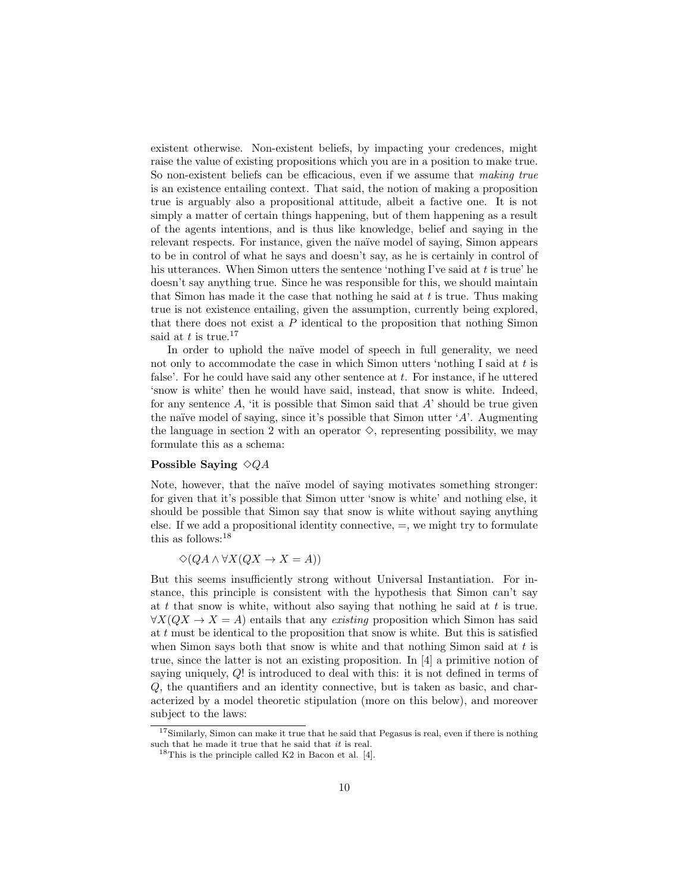existent otherwise. Non-existent beliefs, by impacting your credences, might raise the value of existing propositions which you are in a position to make true. So non-existent beliefs can be efficacious, even if we assume that making true is an existence entailing context. That said, the notion of making a proposition true is arguably also a propositional attitude, albeit a factive one. It is not simply a matter of certain things happening, but of them happening as a result of the agents intentions, and is thus like knowledge, belief and saying in the relevant respects. For instance, given the naïve model of saying, Simon appears to be in control of what he says and doesn't say, as he is certainly in control of his utterances. When Simon utters the sentence 'nothing I've said at  $t$  is true' he doesn't say anything true. Since he was responsible for this, we should maintain that Simon has made it the case that nothing he said at  $t$  is true. Thus making true is not existence entailing, given the assumption, currently being explored, that there does not exist a  $P$  identical to the proposition that nothing Simon said at t is true.<sup>17</sup>

In order to uphold the naïve model of speech in full generality, we need not only to accommodate the case in which Simon utters 'nothing I said at  $t$  is false'. For he could have said any other sentence at  $t$ . For instance, if he uttered 'snow is white' then he would have said, instead, that snow is white. Indeed, for any sentence  $A$ , 'it is possible that Simon said that  $A'$  should be true given the naïve model of saying, since it's possible that Simon utter  $A$ . Augmenting the language in section 2 with an operator  $\Diamond$ , representing possibility, we may formulate this as a schema:

#### Possible Saying  $\diamond QA$

Note, however, that the naïve model of saying motivates something stronger: for given that it's possible that Simon utter 'snow is white' and nothing else, it should be possible that Simon say that snow is white without saying anything else. If we add a propositional identity connective,  $=$ , we might try to formulate this as follows:<sup>18</sup>

### $\Diamond(QA \land \forall X(QX \to X = A))$

But this seems insufficiently strong without Universal Instantiation. For instance, this principle is consistent with the hypothesis that Simon can't say at t that snow is white, without also saying that nothing he said at  $t$  is true.  $\forall X(QX \rightarrow X = A)$  entails that any existing proposition which Simon has said at t must be identical to the proposition that snow is white. But this is satisfied when Simon says both that snow is white and that nothing Simon said at  $t$  is true, since the latter is not an existing proposition. In [4] a primitive notion of saying uniquely, Q! is introduced to deal with this: it is not defined in terms of Q, the quantifiers and an identity connective, but is taken as basic, and characterized by a model theoretic stipulation (more on this below), and moreover subject to the laws:

 $17$ Similarly, Simon can make it true that he said that Pegasus is real, even if there is nothing such that he made it true that he said that it is real.

 $^{18}{\rm This}$  is the principle called K2 in Bacon et al. [4].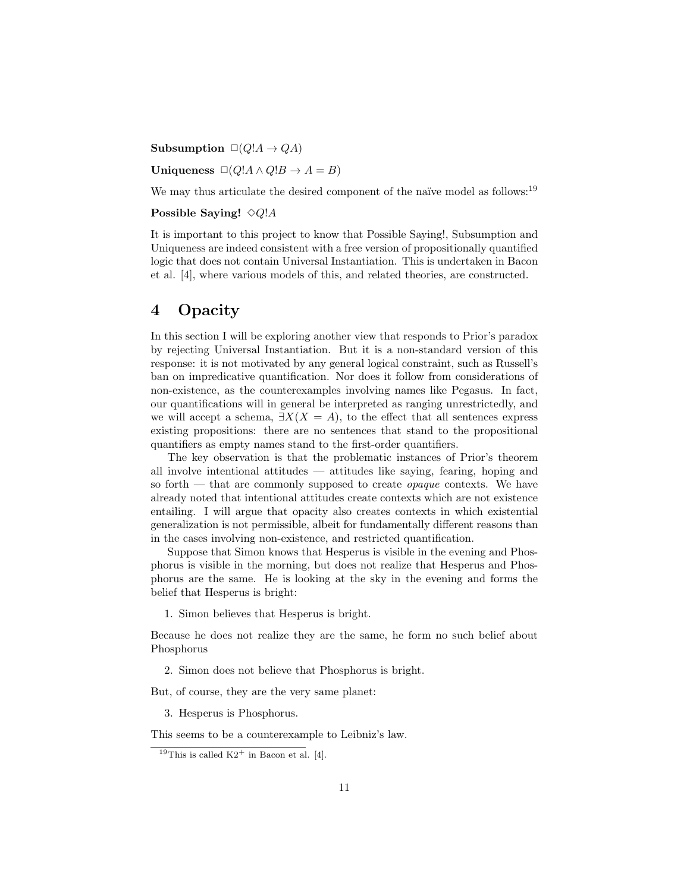Subsumption  $\Box(Q'A \rightarrow QA)$ 

Uniqueness  $\Box(Q'A \land Q'B \rightarrow A = B)$ 

We may thus articulate the desired component of the naïve model as follows: $19$ 

#### Possible Saying!  $\Diamond Q$ !A

It is important to this project to know that Possible Saying!, Subsumption and Uniqueness are indeed consistent with a free version of propositionally quantified logic that does not contain Universal Instantiation. This is undertaken in Bacon et al. [4], where various models of this, and related theories, are constructed.

# 4 Opacity

In this section I will be exploring another view that responds to Prior's paradox by rejecting Universal Instantiation. But it is a non-standard version of this response: it is not motivated by any general logical constraint, such as Russell's ban on impredicative quantification. Nor does it follow from considerations of non-existence, as the counterexamples involving names like Pegasus. In fact, our quantifications will in general be interpreted as ranging unrestrictedly, and we will accept a schema,  $\exists X(X = A)$ , to the effect that all sentences express existing propositions: there are no sentences that stand to the propositional quantifiers as empty names stand to the first-order quantifiers.

The key observation is that the problematic instances of Prior's theorem all involve intentional attitudes — attitudes like saying, fearing, hoping and so forth — that are commonly supposed to create *opaque* contexts. We have already noted that intentional attitudes create contexts which are not existence entailing. I will argue that opacity also creates contexts in which existential generalization is not permissible, albeit for fundamentally different reasons than in the cases involving non-existence, and restricted quantification.

Suppose that Simon knows that Hesperus is visible in the evening and Phosphorus is visible in the morning, but does not realize that Hesperus and Phosphorus are the same. He is looking at the sky in the evening and forms the belief that Hesperus is bright:

1. Simon believes that Hesperus is bright.

Because he does not realize they are the same, he form no such belief about Phosphorus

2. Simon does not believe that Phosphorus is bright.

But, of course, they are the very same planet:

3. Hesperus is Phosphorus.

This seems to be a counterexample to Leibniz's law.

<sup>&</sup>lt;sup>19</sup>This is called  $K2^+$  in Bacon et al. [4].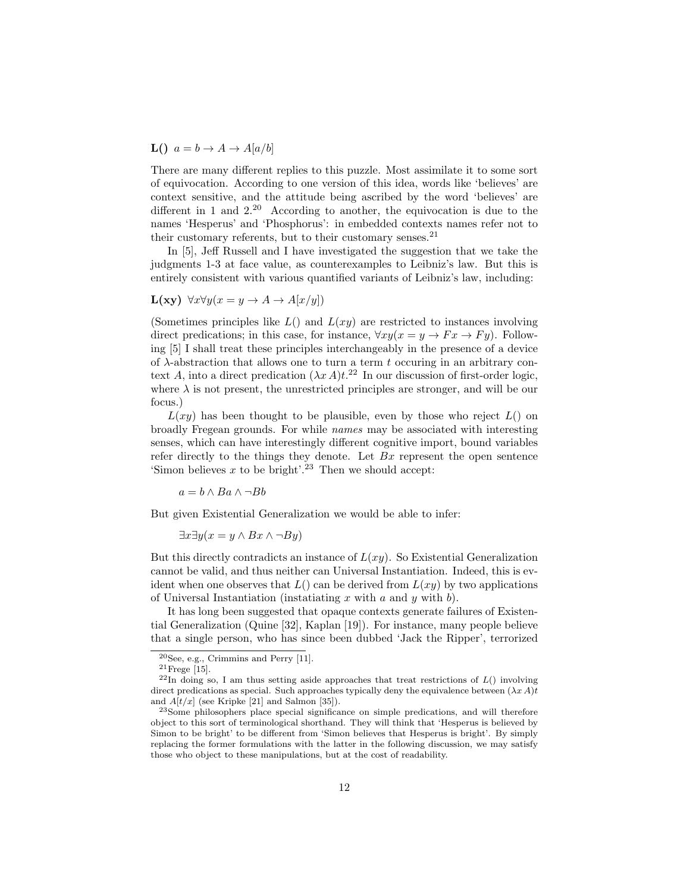**L()**  $a = b \rightarrow A \rightarrow A[a/b]$ 

There are many different replies to this puzzle. Most assimilate it to some sort of equivocation. According to one version of this idea, words like 'believes' are context sensitive, and the attitude being ascribed by the word 'believes' are different in 1 and 2.<sup>20</sup> According to another, the equivocation is due to the names 'Hesperus' and 'Phosphorus': in embedded contexts names refer not to their customary referents, but to their customary senses. $^{21}$ 

In [5], Jeff Russell and I have investigated the suggestion that we take the judgments 1-3 at face value, as counterexamples to Leibniz's law. But this is entirely consistent with various quantified variants of Leibniz's law, including:

$$
\mathbf{L}(\mathbf{xy}) \ \forall x \forall y (x = y \to A \to A[x/y])
$$

(Sometimes principles like  $L($ ) and  $L(xy)$  are restricted to instances involving direct predications; in this case, for instance,  $\forall xy(x=y \rightarrow Fx \rightarrow Fy)$ . Following [5] I shall treat these principles interchangeably in the presence of a device of  $\lambda$ -abstraction that allows one to turn a term t occuring in an arbitrary context A, into a direct predication  $(\lambda x A)t$ <sup>22</sup> In our discussion of first-order logic, where  $\lambda$  is not present, the unrestricted principles are stronger, and will be our focus.)

 $L(xy)$  has been thought to be plausible, even by those who reject  $L()$  on broadly Fregean grounds. For while names may be associated with interesting senses, which can have interestingly different cognitive import, bound variables refer directly to the things they denote. Let  $Bx$  represent the open sentence 'Simon believes  $x$  to be bright'.<sup>23</sup> Then we should accept:

 $a = b \wedge Ba \wedge \neg Bb$ 

But given Existential Generalization we would be able to infer:

 $\exists x \exists y (x = y \land Bx \land \neg By)$ 

But this directly contradicts an instance of  $L(xy)$ . So Existential Generalization cannot be valid, and thus neither can Universal Instantiation. Indeed, this is evident when one observes that  $L()$  can be derived from  $L(xy)$  by two applications of Universal Instantiation (instatiating x with a and y with b).

It has long been suggested that opaque contexts generate failures of Existential Generalization (Quine [32], Kaplan [19]). For instance, many people believe that a single person, who has since been dubbed 'Jack the Ripper', terrorized

 $20$ See, e.g., Crimmins and Perry [11].

 $^{21}$ Frege [15].

 $^{22}$ In doing so, I am thus setting aside approaches that treat restrictions of  $L()$  involving direct predications as special. Such approaches typically deny the equivalence between  $(\lambda x A)t$ and  $A[t/x]$  (see Kripke [21] and Salmon [35]).

<sup>23</sup>Some philosophers place special significance on simple predications, and will therefore object to this sort of terminological shorthand. They will think that 'Hesperus is believed by Simon to be bright' to be different from 'Simon believes that Hesperus is bright'. By simply replacing the former formulations with the latter in the following discussion, we may satisfy those who object to these manipulations, but at the cost of readability.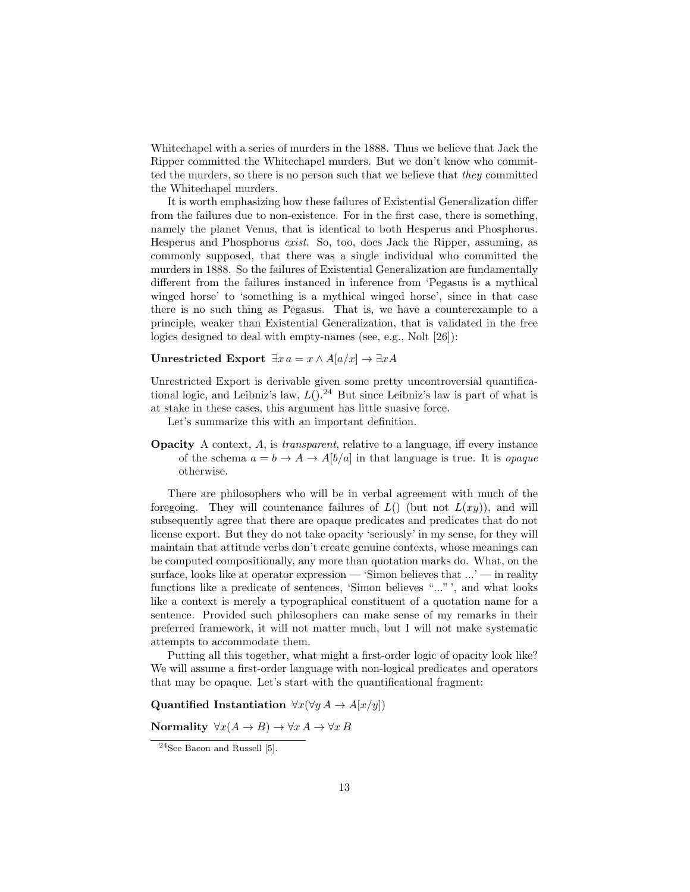Whitechapel with a series of murders in the 1888. Thus we believe that Jack the Ripper committed the Whitechapel murders. But we don't know who committed the murders, so there is no person such that we believe that they committed the Whitechapel murders.

It is worth emphasizing how these failures of Existential Generalization differ from the failures due to non-existence. For in the first case, there is something, namely the planet Venus, that is identical to both Hesperus and Phosphorus. Hesperus and Phosphorus exist. So, too, does Jack the Ripper, assuming, as commonly supposed, that there was a single individual who committed the murders in 1888. So the failures of Existential Generalization are fundamentally different from the failures instanced in inference from 'Pegasus is a mythical winged horse' to 'something is a mythical winged horse', since in that case there is no such thing as Pegasus. That is, we have a counterexample to a principle, weaker than Existential Generalization, that is validated in the free logics designed to deal with empty-names (see, e.g., Nolt [26]):

Unrestricted Export  $\exists x \, a = x \land A[a/x] \rightarrow \exists x A$ 

Unrestricted Export is derivable given some pretty uncontroversial quantificational logic, and Leibniz's law,  $L($ ).<sup>24</sup> But since Leibniz's law is part of what is at stake in these cases, this argument has little suasive force.

Let's summarize this with an important definition.

Opacity A context, A, is transparent, relative to a language, iff every instance of the schema  $a = b \rightarrow A \rightarrow A[b/a]$  in that language is true. It is *opaque* otherwise.

There are philosophers who will be in verbal agreement with much of the foregoing. They will countenance failures of  $L()$  (but not  $L(xy)$ ), and will subsequently agree that there are opaque predicates and predicates that do not license export. But they do not take opacity 'seriously' in my sense, for they will maintain that attitude verbs don't create genuine contexts, whose meanings can be computed compositionally, any more than quotation marks do. What, on the surface, looks like at operator expression — 'Simon believes that  $\ldots$  ' — in reality functions like a predicate of sentences, 'Simon believes "..." ', and what looks like a context is merely a typographical constituent of a quotation name for a sentence. Provided such philosophers can make sense of my remarks in their preferred framework, it will not matter much, but I will not make systematic attempts to accommodate them.

Putting all this together, what might a first-order logic of opacity look like? We will assume a first-order language with non-logical predicates and operators that may be opaque. Let's start with the quantificational fragment:

Quantified Instantiation  $\forall x (\forall y A \rightarrow A[x/y])$ 

Normality  $\forall x (A \rightarrow B) \rightarrow \forall x A \rightarrow \forall x B$ 

 $24$ See Bacon and Russell [5].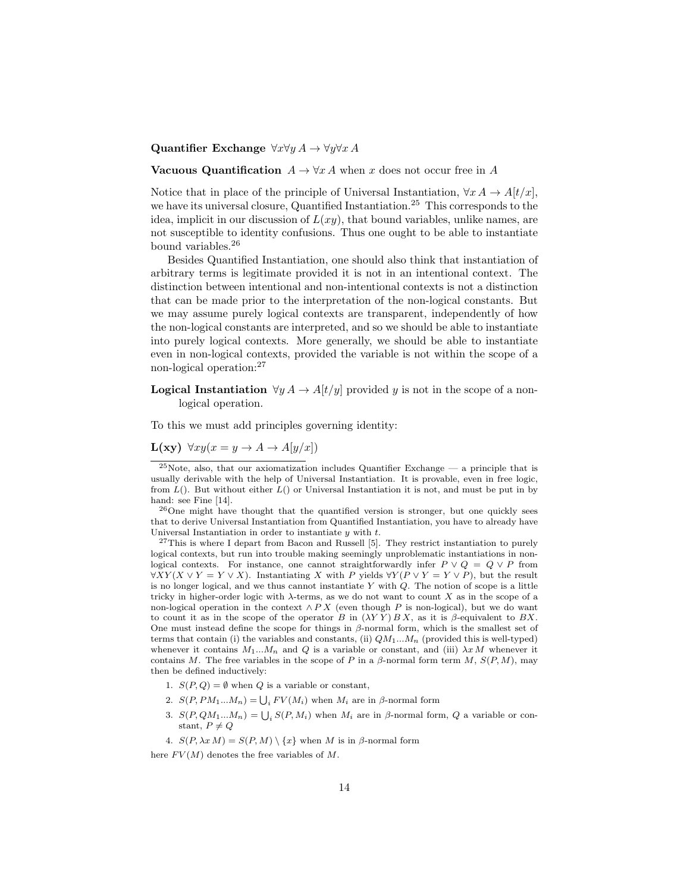#### Quantifier Exchange  $\forall x \forall y A \rightarrow \forall y \forall x A$

#### **Vacuous Quantification**  $A \to \forall x A$  when x does not occur free in A

Notice that in place of the principle of Universal Instantiation,  $\forall x A \rightarrow A[t/x]$ , we have its universal closure, Quantified Instantiation.<sup>25</sup> This corresponds to the idea, implicit in our discussion of  $L(xy)$ , that bound variables, unlike names, are not susceptible to identity confusions. Thus one ought to be able to instantiate bound variables.<sup>26</sup>

Besides Quantified Instantiation, one should also think that instantiation of arbitrary terms is legitimate provided it is not in an intentional context. The distinction between intentional and non-intentional contexts is not a distinction that can be made prior to the interpretation of the non-logical constants. But we may assume purely logical contexts are transparent, independently of how the non-logical constants are interpreted, and so we should be able to instantiate into purely logical contexts. More generally, we should be able to instantiate even in non-logical contexts, provided the variable is not within the scope of a non-logical operation:<sup>27</sup>

**Logical Instantiation**  $\forall y A \rightarrow A[t/y]$  provided y is not in the scope of a nonlogical operation.

To this we must add principles governing identity:

 $L(xy) \forall xy (x = y \rightarrow A \rightarrow A[y/x])$ 

 $^{26}$ One might have thought that the quantified version is stronger, but one quickly sees that to derive Universal Instantiation from Quantified Instantiation, you have to already have Universal Instantiation in order to instantiate  $y$  with  $t$ .

 $27$ This is where I depart from Bacon and Russell [5]. They restrict instantiation to purely logical contexts, but run into trouble making seemingly unproblematic instantiations in nonlogical contexts. For instance, one cannot straightforwardly infer  $P \vee Q = Q \vee P$  from  $\forall XY(X \lor Y = Y \lor X)$ . Instantiating X with P yields  $\forall Y(P \lor Y = Y \lor P)$ , but the result is no longer logical, and we thus cannot instantiate  $Y$  with  $Q$ . The notion of scope is a little tricky in higher-order logic with  $\lambda$ -terms, as we do not want to count X as in the scope of a non-logical operation in the context  $\wedge$  P X (even though P is non-logical), but we do want to count it as in the scope of the operator B in  $(\lambda Y Y) B X$ , as it is  $\beta$ -equivalent to BX. One must instead define the scope for things in  $\beta$ -normal form, which is the smallest set of terms that contain (i) the variables and constants, (ii)  $QM_1...M_n$  (provided this is well-typed) whenever it contains  $M_1...M_n$  and Q is a variable or constant, and (iii)  $\lambda x M$  whenever it contains M. The free variables in the scope of P in a  $\beta$ -normal form term M,  $S(P, M)$ , may then be defined inductively:

- 1.  $S(P,Q) = \emptyset$  when Q is a variable or constant,
- 2.  $S(P, PM_1...M_n) = \bigcup_i FV(M_i)$  when  $M_i$  are in  $\beta$ -normal form
- 3.  $S(P, QM_1...M_n) = \bigcup_i S(P, M_i)$  when  $M_i$  are in  $\beta$ -normal form,  $Q$  a variable or constant,  $P \neq Q$
- 4.  $S(P, \lambda x M) = S(P, M) \setminus \{x\}$  when M is in β-normal form

here  $FV(M)$  denotes the free variables of M.

 $\frac{25}{100}$ Note, also, that our axiomatization includes Quantifier Exchange — a principle that is usually derivable with the help of Universal Instantiation. It is provable, even in free logic, from  $L()$ . But without either  $L()$  or Universal Instantiation it is not, and must be put in by hand: see Fine [14].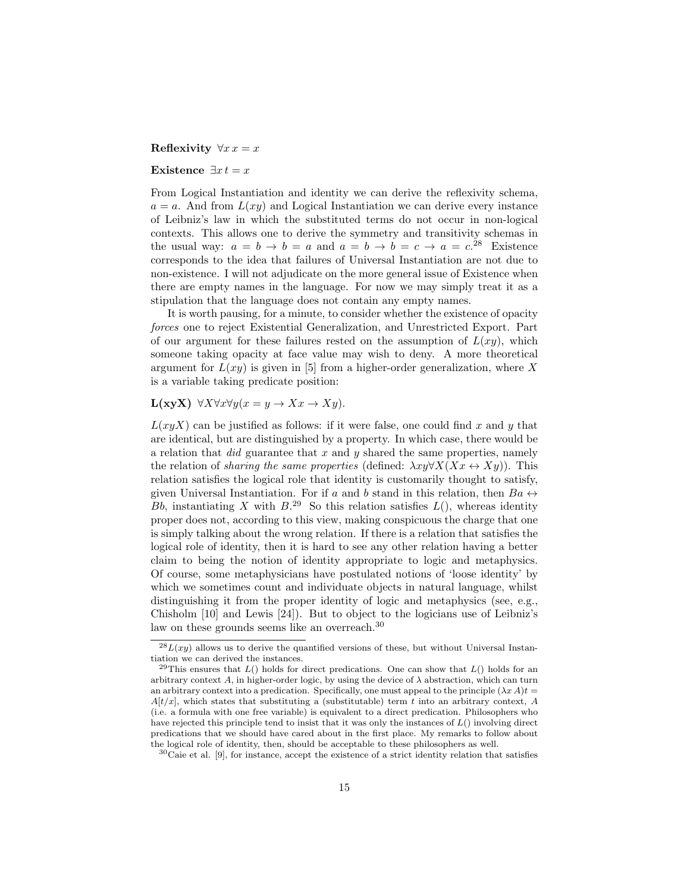#### Reflexivity  $\forall x \, x = x$

#### Existence  $\exists x \, t = x$

From Logical Instantiation and identity we can derive the reflexivity schema,  $a = a$ . And from  $L(xy)$  and Logical Instantiation we can derive every instance of Leibniz's law in which the substituted terms do not occur in non-logical contexts. This allows one to derive the symmetry and transitivity schemas in the usual way:  $a = b \rightarrow b = a$  and  $a = b \rightarrow b = c \rightarrow a = c^{28}$  Existence corresponds to the idea that failures of Universal Instantiation are not due to non-existence. I will not adjudicate on the more general issue of Existence when there are empty names in the language. For now we may simply treat it as a stipulation that the language does not contain any empty names.

It is worth pausing, for a minute, to consider whether the existence of opacity forces one to reject Existential Generalization, and Unrestricted Export. Part of our argument for these failures rested on the assumption of  $L(xy)$ , which someone taking opacity at face value may wish to deny. A more theoretical argument for  $L(xy)$  is given in [5] from a higher-order generalization, where X is a variable taking predicate position:

### L(xyX)  $\forall X \forall x \forall y (x = y \rightarrow Xx \rightarrow Xy).$

 $L(xyX)$  can be justified as follows: if it were false, one could find x and y that are identical, but are distinguished by a property. In which case, there would be a relation that  $did$  guarantee that  $x$  and  $y$  shared the same properties, namely the relation of *sharing the same properties* (defined:  $\lambda xy\forall X(Xx \leftrightarrow Xy)$ ). This relation satisfies the logical role that identity is customarily thought to satisfy, given Universal Instantiation. For if a and b stand in this relation, then  $Ba \leftrightarrow$ Bb, instantiating X with  $B^{29}$ . So this relation satisfies  $L()$ , whereas identity proper does not, according to this view, making conspicuous the charge that one is simply talking about the wrong relation. If there is a relation that satisfies the logical role of identity, then it is hard to see any other relation having a better claim to being the notion of identity appropriate to logic and metaphysics. Of course, some metaphysicians have postulated notions of 'loose identity' by which we sometimes count and individuate objects in natural language, whilst distinguishing it from the proper identity of logic and metaphysics (see, e.g., Chisholm [10] and Lewis [24]). But to object to the logicians use of Leibniz's law on these grounds seems like an overreach.<sup>30</sup>

 $\sqrt{28L(xy)}$  allows us to derive the quantified versions of these, but without Universal Instantiation we can derived the instances.

<sup>&</sup>lt;sup>29</sup>This ensures that  $L()$  holds for direct predications. One can show that  $L()$  holds for an arbitrary context A, in higher-order logic, by using the device of  $\lambda$  abstraction, which can turn an arbitrary context into a predication. Specifically, one must appeal to the principle  $(\lambda x A)t =$  $A[t/x]$ , which states that substituting a (substitutable) term t into an arbitrary context, A (i.e. a formula with one free variable) is equivalent to a direct predication. Philosophers who have rejected this principle tend to insist that it was only the instances of  $L($ ) involving direct predications that we should have cared about in the first place. My remarks to follow about the logical role of identity, then, should be acceptable to these philosophers as well.

 $30$ Caie et al. [9], for instance, accept the existence of a strict identity relation that satisfies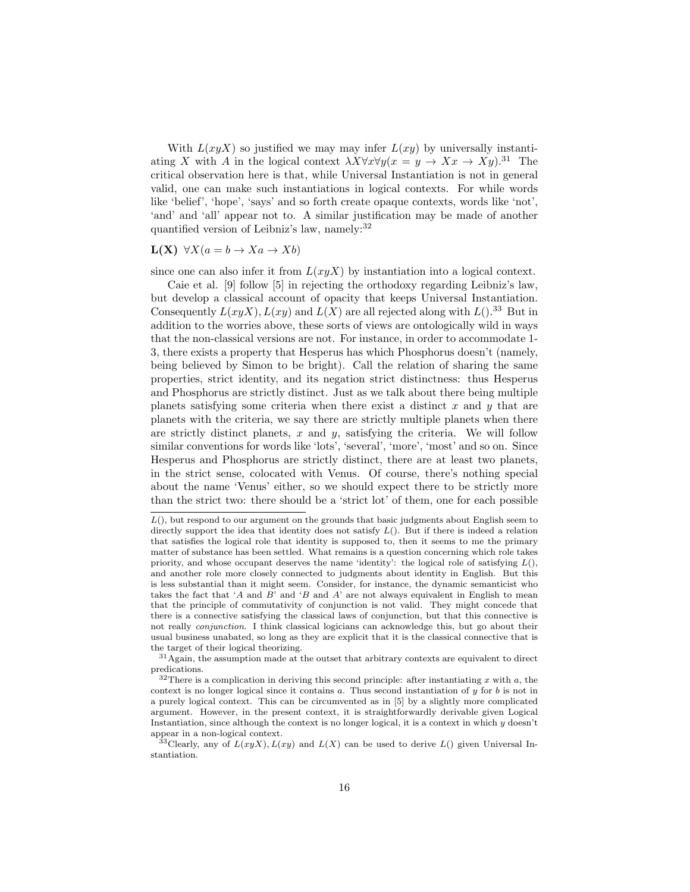With  $L(xyX)$  so justified we may may infer  $L(xy)$  by universally instantiating X with A in the logical context  $\lambda X \forall x \forall y (x = y \rightarrow Xx \rightarrow Xy).$ <sup>31</sup> The critical observation here is that, while Universal Instantiation is not in general valid, one can make such instantiations in logical contexts. For while words like 'belief', 'hope', 'says' and so forth create opaque contexts, words like 'not', 'and' and 'all' appear not to. A similar justification may be made of another quantified version of Leibniz's law, namely:<sup>32</sup>

#### $L(X)$   $\forall X (a = b \rightarrow Xa \rightarrow Xb)$

since one can also infer it from  $L(xyX)$  by instantiation into a logical context.

Caie et al. [9] follow [5] in rejecting the orthodoxy regarding Leibniz's law, but develop a classical account of opacity that keeps Universal Instantiation. Consequently  $L(xyX)$ ,  $L(xy)$  and  $L(X)$  are all rejected along with  $L($ ).<sup>33</sup> But in addition to the worries above, these sorts of views are ontologically wild in ways that the non-classical versions are not. For instance, in order to accommodate 1- 3, there exists a property that Hesperus has which Phosphorus doesn't (namely, being believed by Simon to be bright). Call the relation of sharing the same properties, strict identity, and its negation strict distinctness: thus Hesperus and Phosphorus are strictly distinct. Just as we talk about there being multiple planets satisfying some criteria when there exist a distinct  $x$  and  $y$  that are planets with the criteria, we say there are strictly multiple planets when there are strictly distinct planets,  $x$  and  $y$ , satisfying the criteria. We will follow similar conventions for words like 'lots', 'several', 'more', 'most' and so on. Since Hesperus and Phosphorus are strictly distinct, there are at least two planets, in the strict sense, colocated with Venus. Of course, there's nothing special about the name 'Venus' either, so we should expect there to be strictly more than the strict two: there should be a 'strict lot' of them, one for each possible

 $L($ ), but respond to our argument on the grounds that basic judgments about English seem to directly support the idea that identity does not satisfy  $L()$ . But if there is indeed a relation that satisfies the logical role that identity is supposed to, then it seems to me the primary matter of substance has been settled. What remains is a question concerning which role takes priority, and whose occupant deserves the name 'identity': the logical role of satisfying  $L($ ), and another role more closely connected to judgments about identity in English. But this is less substantial than it might seem. Consider, for instance, the dynamic semanticist who takes the fact that 'A and B' and 'B and A' are not always equivalent in English to mean that the principle of commutativity of conjunction is not valid. They might concede that there is a connective satisfying the classical laws of conjunction, but that this connective is not really conjunction. I think classical logicians can acknowledge this, but go about their usual business unabated, so long as they are explicit that it is the classical connective that is the target of their logical theorizing.

 $31$ Again, the assumption made at the outset that arbitrary contexts are equivalent to direct predications.

 $32$ There is a complication in deriving this second principle: after instantiating x with a, the context is no longer logical since it contains  $a$ . Thus second instantiation of  $y$  for  $b$  is not in a purely logical context. This can be circumvented as in [5] by a slightly more complicated argument. However, in the present context, it is straightforwardly derivable given Logical Instantiation, since although the context is no longer logical, it is a context in which  $y$  doesn't appear in a non-logical context.

<sup>&</sup>lt;sup>33</sup>Clearly, any of  $L(xyX)$ ,  $L(xy)$  and  $L(X)$  can be used to derive  $L()$  given Universal Instantiation.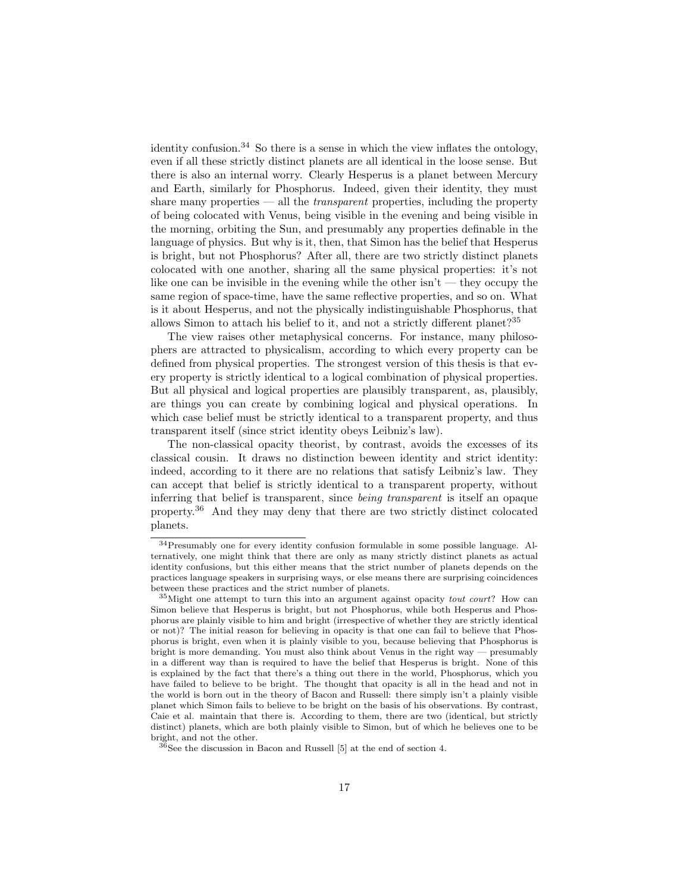identity confusion.<sup>34</sup> So there is a sense in which the view inflates the ontology, even if all these strictly distinct planets are all identical in the loose sense. But there is also an internal worry. Clearly Hesperus is a planet between Mercury and Earth, similarly for Phosphorus. Indeed, given their identity, they must share many properties  $-$  all the *transparent* properties, including the property of being colocated with Venus, being visible in the evening and being visible in the morning, orbiting the Sun, and presumably any properties definable in the language of physics. But why is it, then, that Simon has the belief that Hesperus is bright, but not Phosphorus? After all, there are two strictly distinct planets colocated with one another, sharing all the same physical properties: it's not like one can be invisible in the evening while the other isn't — they occupy the same region of space-time, have the same reflective properties, and so on. What is it about Hesperus, and not the physically indistinguishable Phosphorus, that allows Simon to attach his belief to it, and not a strictly different planet?<sup>35</sup>

The view raises other metaphysical concerns. For instance, many philosophers are attracted to physicalism, according to which every property can be defined from physical properties. The strongest version of this thesis is that every property is strictly identical to a logical combination of physical properties. But all physical and logical properties are plausibly transparent, as, plausibly, are things you can create by combining logical and physical operations. In which case belief must be strictly identical to a transparent property, and thus transparent itself (since strict identity obeys Leibniz's law).

The non-classical opacity theorist, by contrast, avoids the excesses of its classical cousin. It draws no distinction beween identity and strict identity: indeed, according to it there are no relations that satisfy Leibniz's law. They can accept that belief is strictly identical to a transparent property, without inferring that belief is transparent, since being transparent is itself an opaque property.<sup>36</sup> And they may deny that there are two strictly distinct colocated planets.

<sup>34</sup>Presumably one for every identity confusion formulable in some possible language. Alternatively, one might think that there are only as many strictly distinct planets as actual identity confusions, but this either means that the strict number of planets depends on the practices language speakers in surprising ways, or else means there are surprising coincidences between these practices and the strict number of planets.

<sup>35</sup>Might one attempt to turn this into an argument against opacity tout court? How can Simon believe that Hesperus is bright, but not Phosphorus, while both Hesperus and Phosphorus are plainly visible to him and bright (irrespective of whether they are strictly identical or not)? The initial reason for believing in opacity is that one can fail to believe that Phosphorus is bright, even when it is plainly visible to you, because believing that Phosphorus is bright is more demanding. You must also think about Venus in the right way — presumably in a different way than is required to have the belief that Hesperus is bright. None of this is explained by the fact that there's a thing out there in the world, Phosphorus, which you have failed to believe to be bright. The thought that opacity is all in the head and not in the world is born out in the theory of Bacon and Russell: there simply isn't a plainly visible planet which Simon fails to believe to be bright on the basis of his observations. By contrast, Caie et al. maintain that there is. According to them, there are two (identical, but strictly distinct) planets, which are both plainly visible to Simon, but of which he believes one to be bright, and not the other.

 $36$ See the discussion in Bacon and Russell [5] at the end of section 4.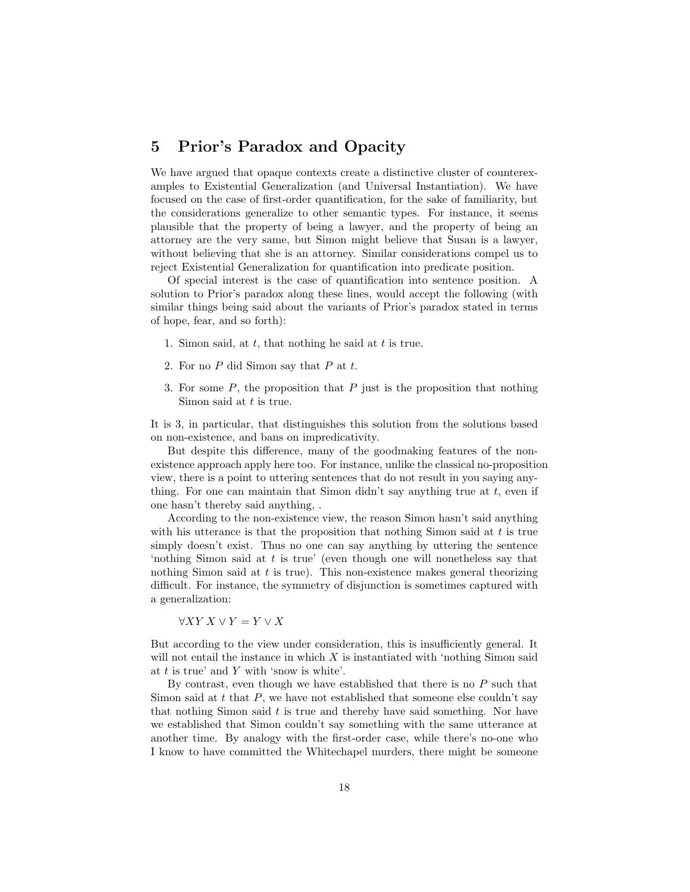### 5 Prior's Paradox and Opacity

We have argued that opaque contexts create a distinctive cluster of counterexamples to Existential Generalization (and Universal Instantiation). We have focused on the case of first-order quantification, for the sake of familiarity, but the considerations generalize to other semantic types. For instance, it seems plausible that the property of being a lawyer, and the property of being an attorney are the very same, but Simon might believe that Susan is a lawyer, without believing that she is an attorney. Similar considerations compel us to reject Existential Generalization for quantification into predicate position.

Of special interest is the case of quantification into sentence position. A solution to Prior's paradox along these lines, would accept the following (with similar things being said about the variants of Prior's paradox stated in terms of hope, fear, and so forth):

- 1. Simon said, at  $t$ , that nothing he said at  $t$  is true.
- 2. For no  $P$  did Simon say that  $P$  at  $t$ .
- 3. For some  $P$ , the proposition that  $P$  just is the proposition that nothing Simon said at  $t$  is true.

It is 3, in particular, that distinguishes this solution from the solutions based on non-existence, and bans on impredicativity.

But despite this difference, many of the goodmaking features of the nonexistence approach apply here too. For instance, unlike the classical no-proposition view, there is a point to uttering sentences that do not result in you saying anything. For one can maintain that Simon didn't say anything true at  $t$ , even if one hasn't thereby said anything, .

According to the non-existence view, the reason Simon hasn't said anything with his utterance is that the proposition that nothing Simon said at  $t$  is true simply doesn't exist. Thus no one can say anything by uttering the sentence 'nothing Simon said at t is true' (even though one will nonetheless say that nothing Simon said at  $t$  is true). This non-existence makes general theorizing difficult. For instance, the symmetry of disjunction is sometimes captured with a generalization:

 $\forall XY X \lor Y = Y \lor X$ 

But according to the view under consideration, this is insufficiently general. It will not entail the instance in which  $X$  is instantiated with 'nothing Simon said at  $t$  is true' and  $Y$  with 'snow is white'.

By contrast, even though we have established that there is no  $P$  such that Simon said at t that  $P$ , we have not established that someone else couldn't say that nothing Simon said  $t$  is true and thereby have said something. Nor have we established that Simon couldn't say something with the same utterance at another time. By analogy with the first-order case, while there's no-one who I know to have committed the Whitechapel murders, there might be someone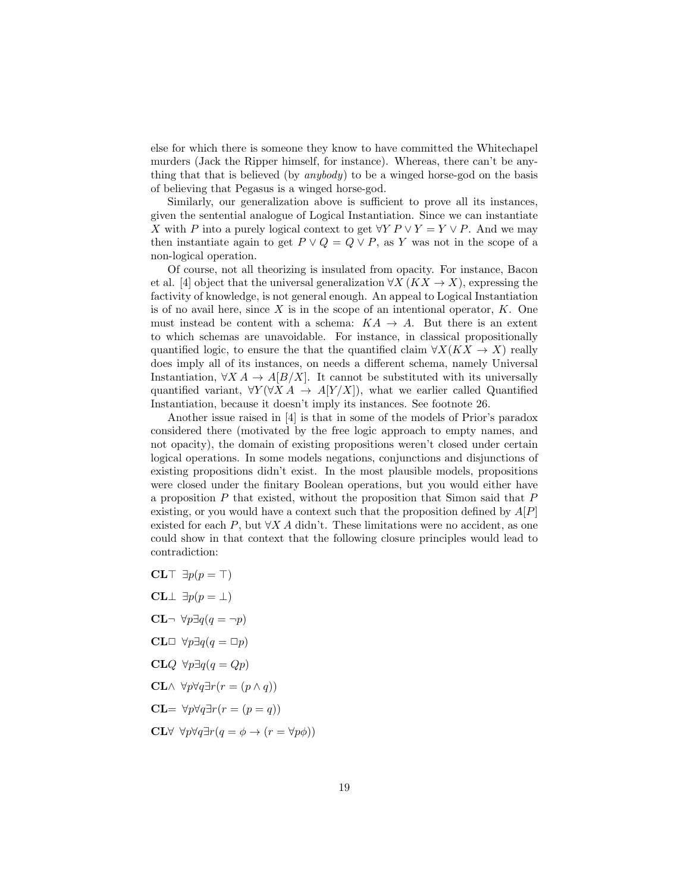else for which there is someone they know to have committed the Whitechapel murders (Jack the Ripper himself, for instance). Whereas, there can't be anything that that is believed (by anybody) to be a winged horse-god on the basis of believing that Pegasus is a winged horse-god.

Similarly, our generalization above is sufficient to prove all its instances, given the sentential analogue of Logical Instantiation. Since we can instantiate X with P into a purely logical context to get  $\forall Y P \lor Y = Y \lor P$ . And we may then instantiate again to get  $P \vee Q = Q \vee P$ , as Y was not in the scope of a non-logical operation.

Of course, not all theorizing is insulated from opacity. For instance, Bacon et al. [4] object that the universal generalization  $\forall X$  ( $\overline{K}X \rightarrow X$ ), expressing the factivity of knowledge, is not general enough. An appeal to Logical Instantiation is of no avail here, since  $X$  is in the scope of an intentional operator,  $K$ . One must instead be content with a schema:  $KA \rightarrow A$ . But there is an extent to which schemas are unavoidable. For instance, in classical propositionally quantified logic, to ensure the that the quantified claim  $\forall X(KX \rightarrow X)$  really does imply all of its instances, on needs a different schema, namely Universal Instantiation,  $\forall X A \rightarrow A[B/X]$ . It cannot be substituted with its universally quantified variant,  $\forall Y (\forall X A \rightarrow A[Y/X])$ , what we earlier called Quantified Instantiation, because it doesn't imply its instances. See footnote 26.

Another issue raised in [4] is that in some of the models of Prior's paradox considered there (motivated by the free logic approach to empty names, and not opacity), the domain of existing propositions weren't closed under certain logical operations. In some models negations, conjunctions and disjunctions of existing propositions didn't exist. In the most plausible models, propositions were closed under the finitary Boolean operations, but you would either have a proposition  $P$  that existed, without the proposition that Simon said that  $P$ existing, or you would have a context such that the proposition defined by  $A[P]$ existed for each P, but  $\forall X \, A$  didn't. These limitations were no accident, as one could show in that context that the following closure principles would lead to contradiction:

CLT  $\exists p(p = \top)$ CL $\perp \exists p(p=\perp)$ CL $\neg$  ∀p∃q(q =  $\neg$ p) CL□  $\forall p \exists q (q = \Box p)$ CL $Q$  ∀p∃ $q(q = Qp)$ CL∧  $\forall p \forall q \exists r (r = (p \land q))$  $CL = \forall p \forall q \exists r (r = (p = q))$  $CL\forall \forall p \forall q \exists r (q = \phi \rightarrow (r = \forall p \phi))$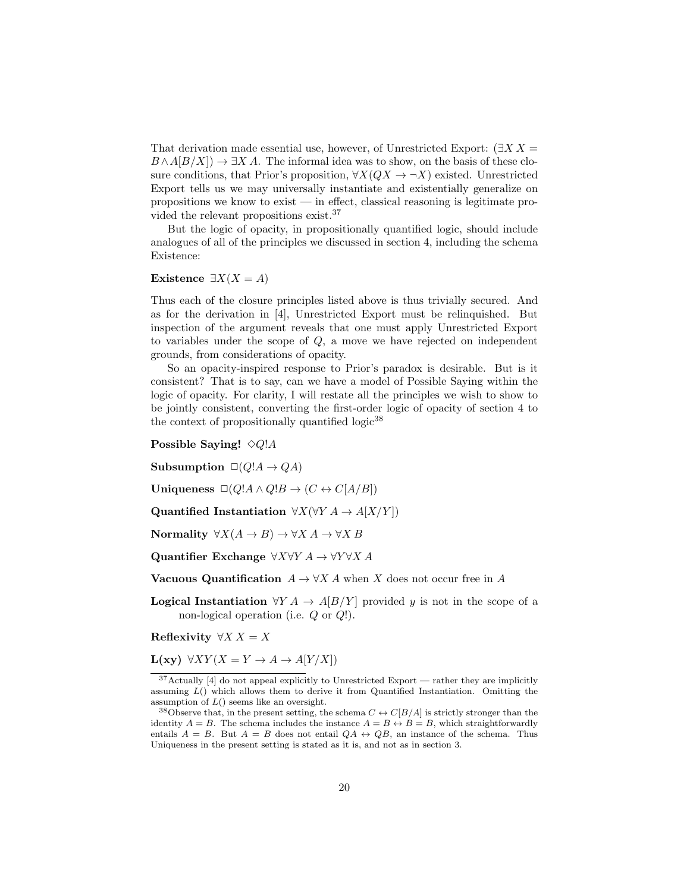That derivation made essential use, however, of Unrestricted Export:  $(\exists X X =$  $B \wedge A[B/X]) \to \exists X A$ . The informal idea was to show, on the basis of these closure conditions, that Prior's proposition,  $\forall X(QX \rightarrow \neg X)$  existed. Unrestricted Export tells us we may universally instantiate and existentially generalize on propositions we know to exist — in effect, classical reasoning is legitimate provided the relevant propositions exist.<sup>37</sup>

But the logic of opacity, in propositionally quantified logic, should include analogues of all of the principles we discussed in section 4, including the schema Existence:

#### Existence  $\exists X(X = A)$

Thus each of the closure principles listed above is thus trivially secured. And as for the derivation in [4], Unrestricted Export must be relinquished. But inspection of the argument reveals that one must apply Unrestricted Export to variables under the scope of Q, a move we have rejected on independent grounds, from considerations of opacity.

So an opacity-inspired response to Prior's paradox is desirable. But is it consistent? That is to say, can we have a model of Possible Saying within the logic of opacity. For clarity, I will restate all the principles we wish to show to be jointly consistent, converting the first-order logic of opacity of section 4 to the context of propositionally quantified  $logic^{38}$ 

#### Possible Saying!  $\Diamond Q$ !A

Subsumption  $\Box(Q'A \rightarrow QA)$ 

Uniqueness  $\Box(Q'A \land Q'B \rightarrow (C \leftrightarrow C[A/B])$ 

Quantified Instantiation  $\forall X (\forall Y A \rightarrow A[X/Y])$ 

Normality  $\forall X(A \rightarrow B) \rightarrow \forall X A \rightarrow \forall X B$ 

Quantifier Exchange  $\forall X \forall Y A \rightarrow \forall Y \forall X A$ 

**Vacuous Quantification**  $A \to \forall X A$  when X does not occur free in A

**Logical Instantiation**  $\forall Y A \rightarrow A[B/Y]$  provided y is not in the scope of a non-logical operation (i.e. Q or Q!).

Reflexivity  $\forall X X = X$ 

 $L(xy) \forall XY (X = Y \rightarrow A \rightarrow A[Y/X])$ 

<sup>37</sup>Actually [4] do not appeal explicitly to Unrestricted Export — rather they are implicitly assuming  $L()$  which allows them to derive it from Quantified Instantiation. Omitting the assumption of  $L($ ) seems like an oversight.

<sup>&</sup>lt;sup>38</sup>Observe that, in the present setting, the schema  $C \leftrightarrow C[B/A]$  is strictly stronger than the identity  $A = B$ . The schema includes the instance  $A = B \leftrightarrow B = B$ , which straightforwardly entails  $A = B$ . But  $A = B$  does not entail  $QA \leftrightarrow QB$ , an instance of the schema. Thus Uniqueness in the present setting is stated as it is, and not as in section 3.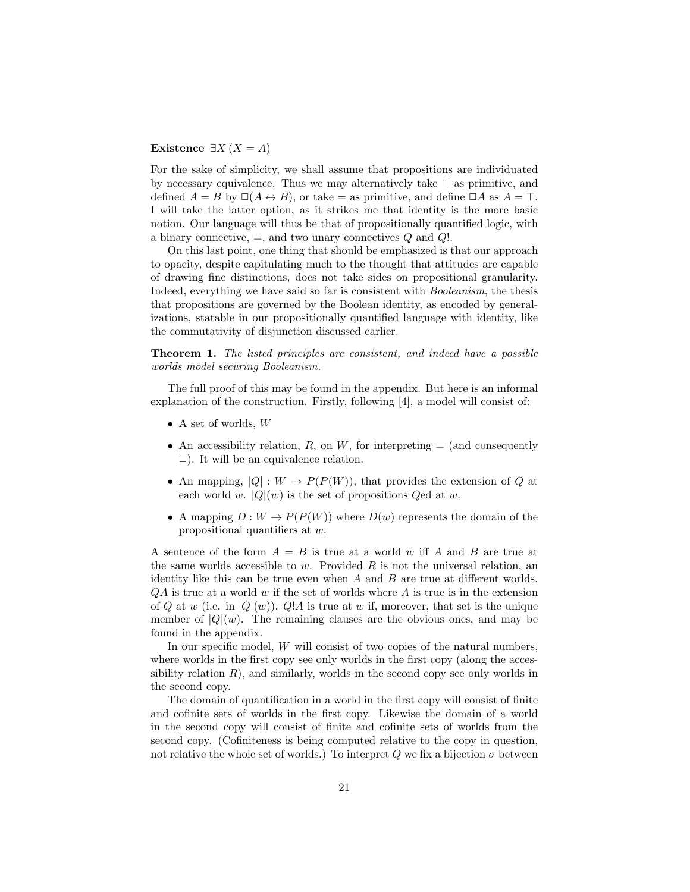#### Existence  $\exists X (X = A)$

For the sake of simplicity, we shall assume that propositions are individuated by necessary equivalence. Thus we may alternatively take  $\Box$  as primitive, and defined  $A = B$  by  $\Box(A \leftrightarrow B)$ , or take = as primitive, and define  $\Box A$  as  $A = \top$ . I will take the latter option, as it strikes me that identity is the more basic notion. Our language will thus be that of propositionally quantified logic, with a binary connective,  $=$ , and two unary connectives  $Q$  and  $Q!$ .

On this last point, one thing that should be emphasized is that our approach to opacity, despite capitulating much to the thought that attitudes are capable of drawing fine distinctions, does not take sides on propositional granularity. Indeed, everything we have said so far is consistent with Booleanism, the thesis that propositions are governed by the Boolean identity, as encoded by generalizations, statable in our propositionally quantified language with identity, like the commutativity of disjunction discussed earlier.

Theorem 1. The listed principles are consistent, and indeed have a possible worlds model securing Booleanism.

The full proof of this may be found in the appendix. But here is an informal explanation of the construction. Firstly, following [4], a model will consist of:

- A set of worlds,  $W$
- An accessibility relation,  $R$ , on  $W$ , for interpreting  $=$  (and consequently  $\Box$ ). It will be an equivalence relation.
- An mapping,  $|Q|: W \to P(P(W))$ , that provides the extension of Q at each world w.  $|Q|(w)$  is the set of propositions  $Q$ ed at w.
- A mapping  $D: W \to P(P(W))$  where  $D(w)$  represents the domain of the propositional quantifiers at w.

A sentence of the form  $A = B$  is true at a world w iff A and B are true at the same worlds accessible to w. Provided  $R$  is not the universal relation, an identity like this can be true even when  $A$  and  $B$  are true at different worlds.  $QA$  is true at a world w if the set of worlds where  $A$  is true is in the extension of Q at w (i.e. in  $|Q|(w)$ ). Q!A is true at w if, moreover, that set is the unique member of  $|Q|(w)$ . The remaining clauses are the obvious ones, and may be found in the appendix.

In our specific model,  $W$  will consist of two copies of the natural numbers, where worlds in the first copy see only worlds in the first copy (along the accessibility relation  $R$ ), and similarly, worlds in the second copy see only worlds in the second copy.

The domain of quantification in a world in the first copy will consist of finite and cofinite sets of worlds in the first copy. Likewise the domain of a world in the second copy will consist of finite and cofinite sets of worlds from the second copy. (Cofiniteness is being computed relative to the copy in question, not relative the whole set of worlds.) To interpret Q we fix a bijection  $\sigma$  between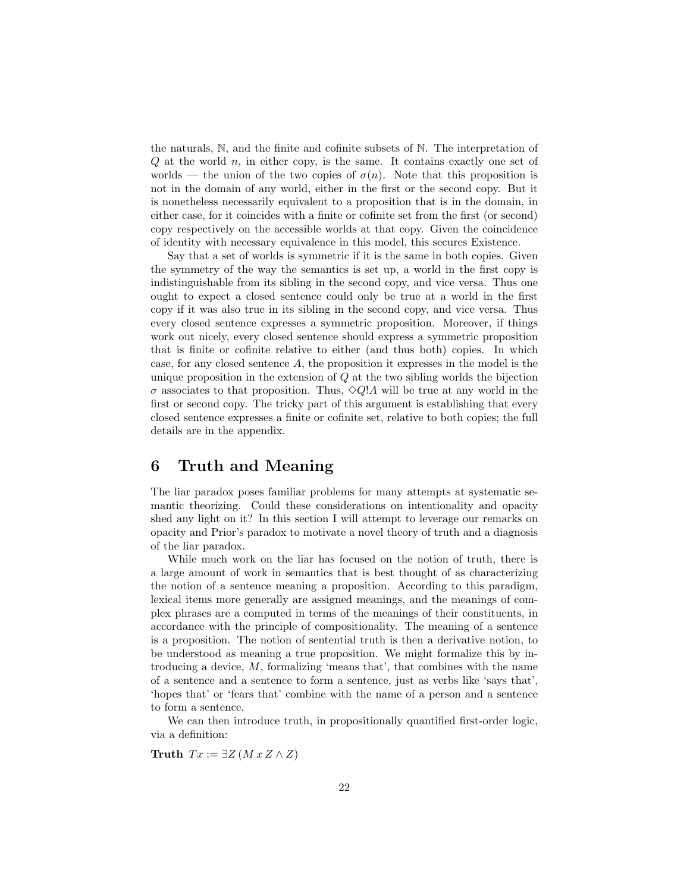the naturals, N, and the finite and cofinite subsets of N. The interpretation of  $Q$  at the world  $n$ , in either copy, is the same. It contains exactly one set of worlds — the union of the two copies of  $\sigma(n)$ . Note that this proposition is not in the domain of any world, either in the first or the second copy. But it is nonetheless necessarily equivalent to a proposition that is in the domain, in either case, for it coincides with a finite or cofinite set from the first (or second) copy respectively on the accessible worlds at that copy. Given the coincidence of identity with necessary equivalence in this model, this secures Existence.

Say that a set of worlds is symmetric if it is the same in both copies. Given the symmetry of the way the semantics is set up, a world in the first copy is indistinguishable from its sibling in the second copy, and vice versa. Thus one ought to expect a closed sentence could only be true at a world in the first copy if it was also true in its sibling in the second copy, and vice versa. Thus every closed sentence expresses a symmetric proposition. Moreover, if things work out nicely, every closed sentence should express a symmetric proposition that is finite or cofinite relative to either (and thus both) copies. In which case, for any closed sentence A, the proposition it expresses in the model is the unique proposition in the extension of  $Q$  at the two sibling worlds the bijection  $\sigma$  associates to that proposition. Thus,  $\Diamond Q$ ! A will be true at any world in the first or second copy. The tricky part of this argument is establishing that every closed sentence expresses a finite or cofinite set, relative to both copies; the full details are in the appendix.

### 6 Truth and Meaning

The liar paradox poses familiar problems for many attempts at systematic semantic theorizing. Could these considerations on intentionality and opacity shed any light on it? In this section I will attempt to leverage our remarks on opacity and Prior's paradox to motivate a novel theory of truth and a diagnosis of the liar paradox.

While much work on the liar has focused on the notion of truth, there is a large amount of work in semantics that is best thought of as characterizing the notion of a sentence meaning a proposition. According to this paradigm, lexical items more generally are assigned meanings, and the meanings of complex phrases are a computed in terms of the meanings of their constituents, in accordance with the principle of compositionality. The meaning of a sentence is a proposition. The notion of sentential truth is then a derivative notion, to be understood as meaning a true proposition. We might formalize this by introducing a device, M, formalizing 'means that', that combines with the name of a sentence and a sentence to form a sentence, just as verbs like 'says that', 'hopes that' or 'fears that' combine with the name of a person and a sentence to form a sentence.

We can then introduce truth, in propositionally quantified first-order logic, via a definition:

Truth  $Tx := \exists Z (M x Z \wedge Z)$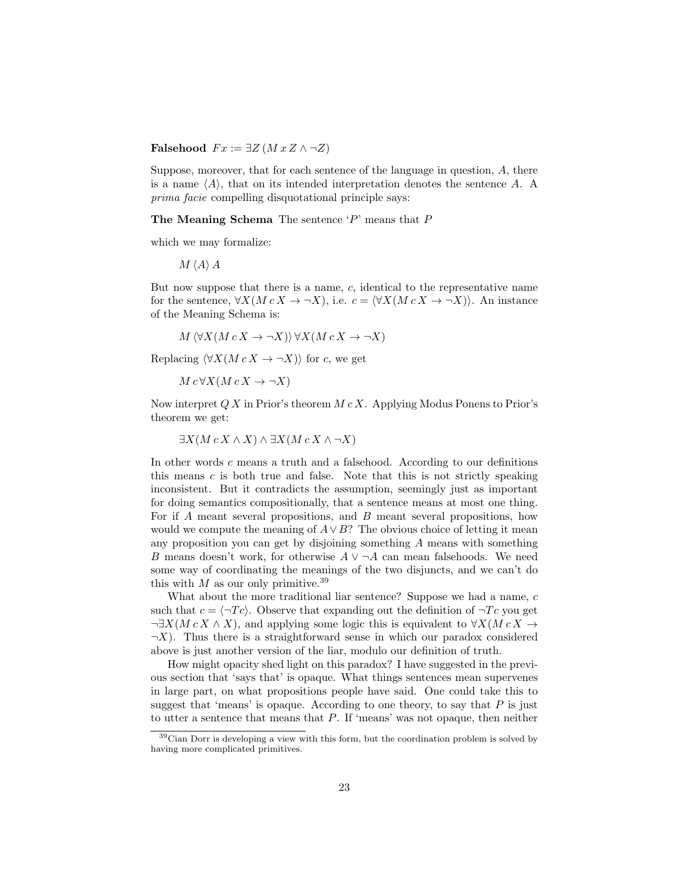Falsehood  $Fx := \exists Z (M x Z \land \neg Z)$ 

Suppose, moreover, that for each sentence of the language in question, A, there is a name  $\langle A \rangle$ , that on its intended interpretation denotes the sentence A. A prima facie compelling disquotational principle says:

The Meaning Schema The sentence 'P' means that P

which we may formalize:

 $M \langle A \rangle A$ 

But now suppose that there is a name, c, identical to the representative name for the sentence,  $\forall X(M c X \rightarrow \neg X)$ , i.e.  $c = \langle \forall X(M c X \rightarrow \neg X) \rangle$ . An instance of the Meaning Schema is:

 $M \langle \forall X(M c X \rightarrow \neg X) \rangle \forall X(M c X \rightarrow \neg X)$ 

Replacing  $\langle \forall X(M c X \rightarrow \neg X) \rangle$  for c, we get

 $M c \forall X (M c X \rightarrow \neg X)$ 

Now interpret  $Q X$  in Prior's theorem  $M c X$ . Applying Modus Ponens to Prior's theorem we get:

 $\exists X(M c X \wedge X) \wedge \exists X(M c X \wedge \neg X)$ 

In other words c means a truth and a falsehood. According to our definitions this means  $c$  is both true and false. Note that this is not strictly speaking inconsistent. But it contradicts the assumption, seemingly just as important for doing semantics compositionally, that a sentence means at most one thing. For if A meant several propositions, and B meant several propositions, how would we compute the meaning of  $A \vee B$ ? The obvious choice of letting it mean any proposition you can get by disjoining something A means with something B means doesn't work, for otherwise  $A \vee \neg A$  can mean falsehoods. We need some way of coordinating the meanings of the two disjuncts, and we can't do this with  $M$  as our only primitive.<sup>39</sup>

What about the more traditional liar sentence? Suppose we had a name, c such that  $c = \langle \neg T c \rangle$ . Observe that expanding out the definition of  $\neg T c$  you get  $\neg \exists X(M c X \land X)$ , and applying some logic this is equivalent to  $\forall X(M c X \rightarrow Y)$  $\neg X$ ). Thus there is a straightforward sense in which our paradox considered above is just another version of the liar, modulo our definition of truth.

How might opacity shed light on this paradox? I have suggested in the previous section that 'says that' is opaque. What things sentences mean supervenes in large part, on what propositions people have said. One could take this to suggest that 'means' is opaque. According to one theory, to say that  $P$  is just to utter a sentence that means that P. If 'means' was not opaque, then neither

 $39$ Cian Dorr is developing a view with this form, but the coordination problem is solved by having more complicated primitives.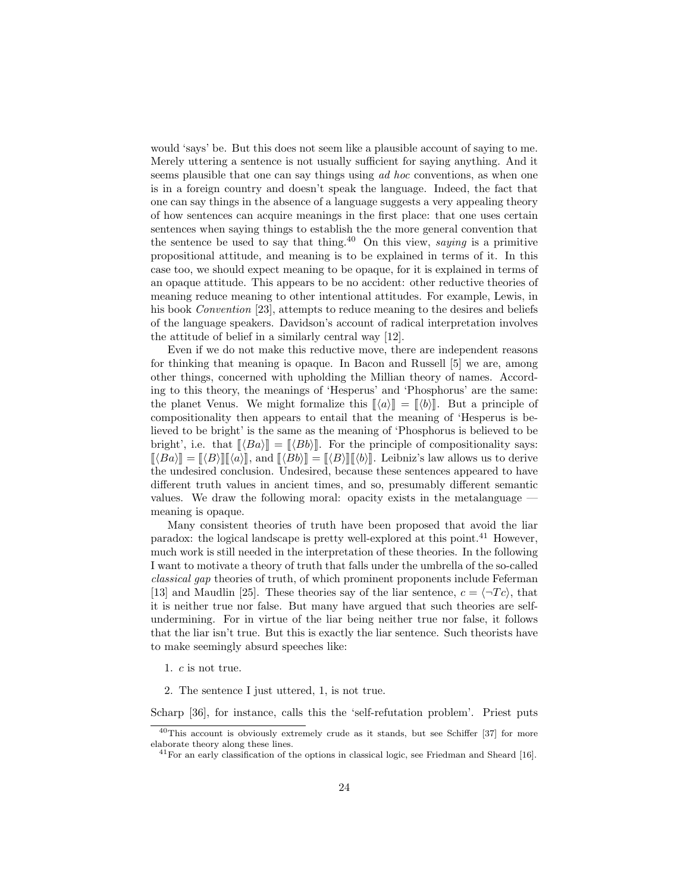would 'says' be. But this does not seem like a plausible account of saying to me. Merely uttering a sentence is not usually sufficient for saying anything. And it seems plausible that one can say things using ad hoc conventions, as when one is in a foreign country and doesn't speak the language. Indeed, the fact that one can say things in the absence of a language suggests a very appealing theory of how sentences can acquire meanings in the first place: that one uses certain sentences when saying things to establish the the more general convention that the sentence be used to say that thing.<sup>40</sup> On this view, *saying* is a primitive propositional attitude, and meaning is to be explained in terms of it. In this case too, we should expect meaning to be opaque, for it is explained in terms of an opaque attitude. This appears to be no accident: other reductive theories of meaning reduce meaning to other intentional attitudes. For example, Lewis, in his book *Convention* [23], attempts to reduce meaning to the desires and beliefs of the language speakers. Davidson's account of radical interpretation involves the attitude of belief in a similarly central way [12].

Even if we do not make this reductive move, there are independent reasons for thinking that meaning is opaque. In Bacon and Russell [5] we are, among other things, concerned with upholding the Millian theory of names. According to this theory, the meanings of 'Hesperus' and 'Phosphorus' are the same: the planet Venus. We might formalize this  $\langle \phi \rangle = \langle \phi \rangle$ . But a principle of compositionality then appears to entail that the meaning of 'Hesperus is believed to be bright' is the same as the meaning of 'Phosphorus is believed to be bright', i.e. that  $\llbracket \langle Ba \rangle \rrbracket = \llbracket \langle Bb \rangle \rrbracket$ . For the principle of compositionality says:  $[\![\langle Ba \rangle] \!] = [\![\langle B \rangle] \!] [\![\langle a \rangle] \!]$ , and  $[\![\langle B \rangle] \!] = [\![\langle B \rangle] \!] [\![\langle b \rangle] \!]$ . Leibniz's law allows us to derive the undesired conclusion. Undesired, because these sentences appeared to have different truth values in ancient times, and so, presumably different semantic values. We draw the following moral: opacity exists in the metalanguage meaning is opaque.

Many consistent theories of truth have been proposed that avoid the liar paradox: the logical landscape is pretty well-explored at this point.<sup>41</sup> However, much work is still needed in the interpretation of these theories. In the following I want to motivate a theory of truth that falls under the umbrella of the so-called classical gap theories of truth, of which prominent proponents include Feferman [13] and Maudlin [25]. These theories say of the liar sentence,  $c = \langle \neg T c \rangle$ , that it is neither true nor false. But many have argued that such theories are selfundermining. For in virtue of the liar being neither true nor false, it follows that the liar isn't true. But this is exactly the liar sentence. Such theorists have to make seemingly absurd speeches like:

1. c is not true.

2. The sentence I just uttered, 1, is not true.

Scharp [36], for instance, calls this the 'self-refutation problem'. Priest puts

<sup>40</sup>This account is obviously extremely crude as it stands, but see Schiffer [37] for more elaborate theory along these lines.

<sup>41</sup>For an early classification of the options in classical logic, see Friedman and Sheard [16].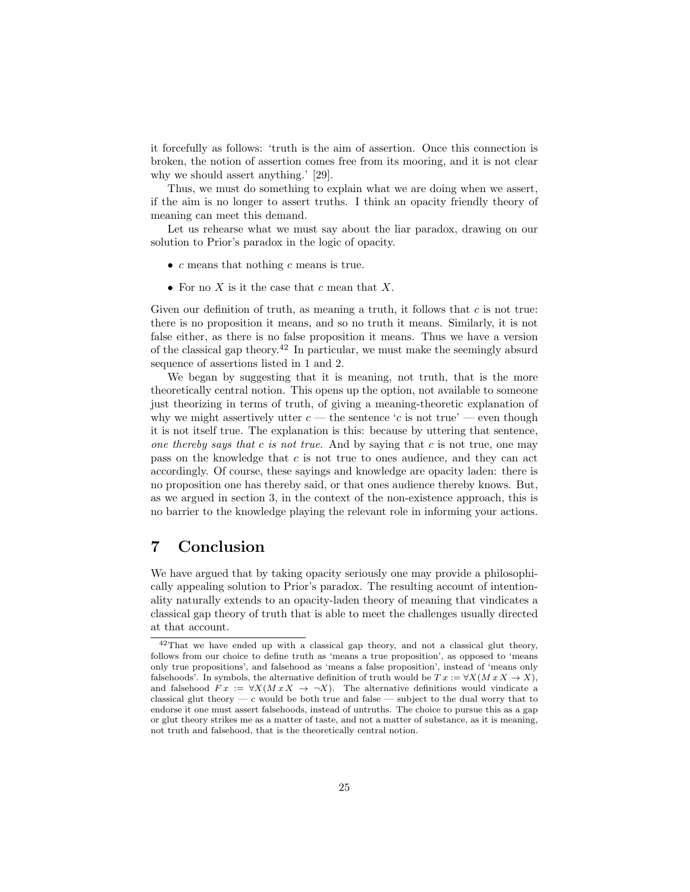it forcefully as follows: 'truth is the aim of assertion. Once this connection is broken, the notion of assertion comes free from its mooring, and it is not clear why we should assert anything.' [29].

Thus, we must do something to explain what we are doing when we assert, if the aim is no longer to assert truths. I think an opacity friendly theory of meaning can meet this demand.

Let us rehearse what we must say about the liar paradox, drawing on our solution to Prior's paradox in the logic of opacity.

- $c$  means that nothing  $c$  means is true.
- For no  $X$  is it the case that  $c$  mean that  $X$ .

Given our definition of truth, as meaning a truth, it follows that  $c$  is not true: there is no proposition it means, and so no truth it means. Similarly, it is not false either, as there is no false proposition it means. Thus we have a version of the classical gap theory.<sup>42</sup> In particular, we must make the seemingly absurd sequence of assertions listed in 1 and 2.

We began by suggesting that it is meaning, not truth, that is the more theoretically central notion. This opens up the option, not available to someone just theorizing in terms of truth, of giving a meaning-theoretic explanation of why we might assertively utter  $c$  — the sentence 'c is not true' — even though it is not itself true. The explanation is this: because by uttering that sentence, one thereby says that c is not true. And by saying that c is not true, one may pass on the knowledge that c is not true to ones audience, and they can act accordingly. Of course, these sayings and knowledge are opacity laden: there is no proposition one has thereby said, or that ones audience thereby knows. But, as we argued in section 3, in the context of the non-existence approach, this is no barrier to the knowledge playing the relevant role in informing your actions.

# 7 Conclusion

We have argued that by taking opacity seriously one may provide a philosophically appealing solution to Prior's paradox. The resulting account of intentionality naturally extends to an opacity-laden theory of meaning that vindicates a classical gap theory of truth that is able to meet the challenges usually directed at that account.

<sup>42</sup>That we have ended up with a classical gap theory, and not a classical glut theory, follows from our choice to define truth as 'means a true proposition', as opposed to 'means only true propositions', and falsehood as 'means a false proposition', instead of 'means only falsehoods'. In symbols, the alternative definition of truth would be  $Tx := \forall X(M \, x \, X \rightarrow X)$ , and falsehood  $Fx := \forall X(Mx X \rightarrow \neg X)$ . The alternative definitions would vindicate a classical glut theory — c would be both true and false — subject to the dual worry that to endorse it one must assert falsehoods, instead of untruths. The choice to pursue this as a gap or glut theory strikes me as a matter of taste, and not a matter of substance, as it is meaning, not truth and falsehood, that is the theoretically central notion.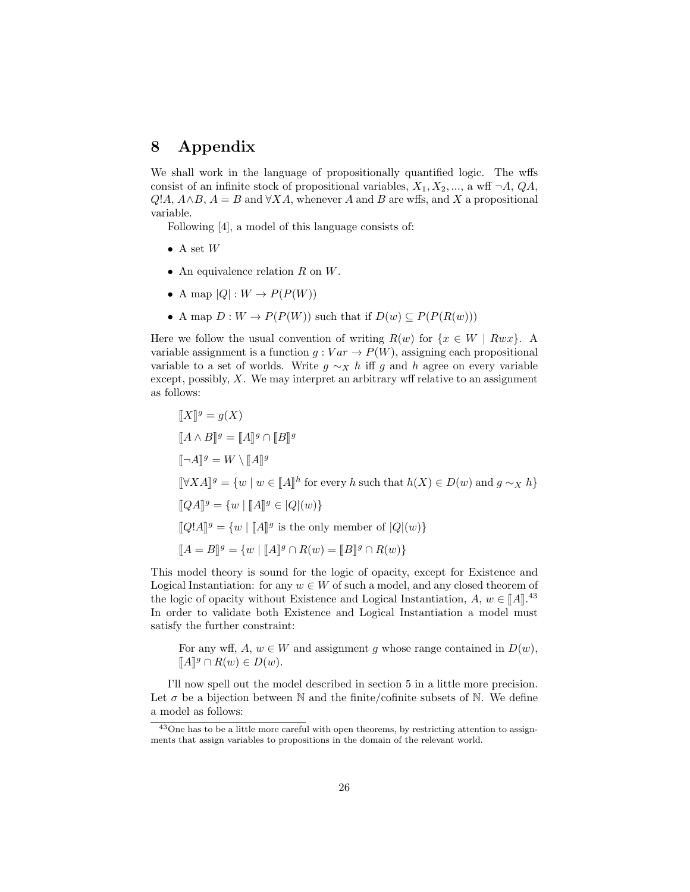# 8 Appendix

We shall work in the language of propositionally quantified logic. The wffs consist of an infinite stock of propositional variables,  $X_1, X_2, \ldots$ , a wff  $\neg A$ ,  $QA$ ,  $Q:A, A \wedge B, A = B$  and  $\forall X A$ , whenever A and B are wffs, and X a propositional variable.

Following [4], a model of this language consists of:

- A set  $W$
- An equivalence relation  $R$  on  $W$ .
- A map  $|Q|: W \to P(P(W))$
- A map  $D: W \to P(P(W))$  such that if  $D(w) \subseteq P(P(R(w)))$

Here we follow the usual convention of writing  $R(w)$  for  $\{x \in W \mid Rwx\}$ . variable assignment is a function  $g: Var \to P(W)$ , assigning each propositional variable to a set of worlds. Write  $g \sim_X h$  iff g and h agree on every variable except, possibly,  $X$ . We may interpret an arbitrary wff relative to an assignment as follows:

$$
\begin{aligned}\n\llbracket X \rrbracket^g &= g(X) \\
\llbracket A \wedge B \rrbracket^g &= \llbracket A \rrbracket^g \cap \llbracket B \rrbracket^g \\
\llbracket \neg A \rrbracket^g &= W \setminus \llbracket A \rrbracket^g \\
\llbracket \forall X A \rrbracket^g &= \{ w \mid w \in \llbracket A \rrbracket^h \text{ for every } h \text{ such that } h(X) \in D(w) \text{ and } g \sim_X h \} \\
\llbracket QA \rrbracket^g &= \{ w \mid \llbracket A \rrbracket^g \in |Q|(w) \} \\
\llbracket Q!A \rrbracket^g &= \{ w \mid \llbracket A \rrbracket^g \text{ is the only member of } |Q|(w) \} \\
\llbracket A &= B \rrbracket^g &= \{ w \mid \llbracket A \rrbracket^g \cap R(w) = \llbracket B \rrbracket^g \cap R(w) \}\n\end{aligned}
$$

This model theory is sound for the logic of opacity, except for Existence and Logical Instantiation: for any  $w \in W$  of such a model, and any closed theorem of the logic of opacity without Existence and Logical Instantiation,  $A, w \in [A]$ <sup>43</sup> In order to validate both Existence and Logical Instantiation a model must satisfy the further constraint:

For any wff,  $A, w \in W$  and assignment g whose range contained in  $D(w)$ ,  $\llbracket A \rrbracket^g \cap R(w) \in D(w).$ 

I'll now spell out the model described in section 5 in a little more precision. Let  $\sigma$  be a bijection between N and the finite/cofinite subsets of N. We define a model as follows:

<sup>&</sup>lt;sup>43</sup>One has to be a little more careful with open theorems, by restricting attention to assignments that assign variables to propositions in the domain of the relevant world.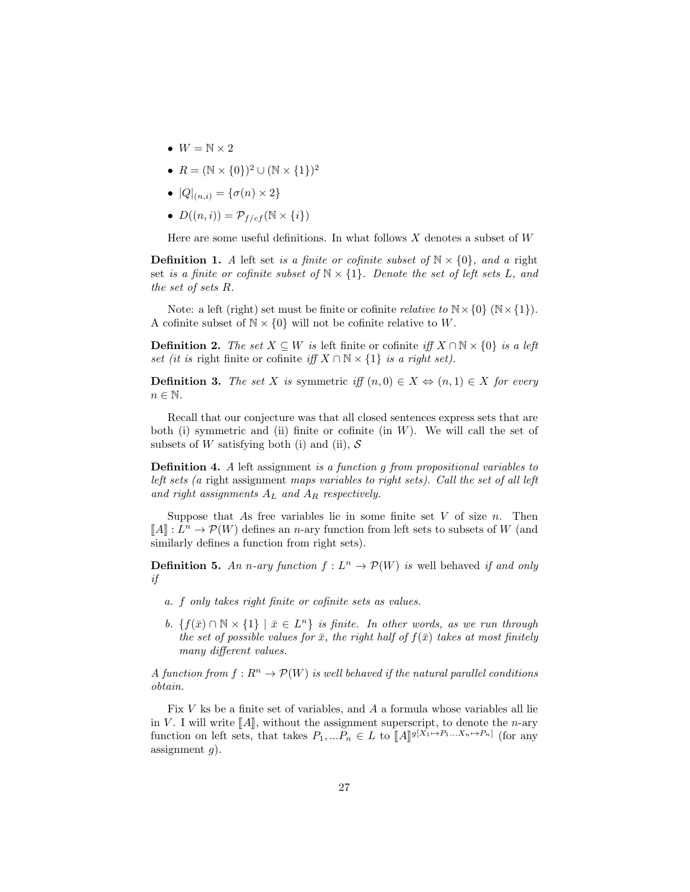- $\bullet \;\; W = \mathbb{N} \times 2$
- $R = (\mathbb{N} \times \{0\})^2 \cup (\mathbb{N} \times \{1\})^2$
- $|Q|_{(n,i)} = {\sigma(n) \times 2}$
- $D((n, i)) = \mathcal{P}_{f / cf}(\mathbb{N} \times \{i\})$

Here are some useful definitions. In what follows X denotes a subset of  $W$ 

**Definition 1.** A left set is a finite or cofinite subset of  $\mathbb{N} \times \{0\}$ , and a right set is a finite or cofinite subset of  $N \times \{1\}$ . Denote the set of left sets L, and the set of sets R.

Note: a left (right) set must be finite or cofinite *relative to*  $N \times \{0\}$  ( $N \times \{1\}$ ). A cofinite subset of  $N \times \{0\}$  will not be cofinite relative to W.

**Definition 2.** The set  $X \subseteq W$  is left finite or cofinite iff  $X \cap \mathbb{N} \times \{0\}$  is a left set (it is right finite or cofinite iff  $X \cap \mathbb{N} \times \{1\}$  is a right set).

**Definition 3.** The set X is symmetric iff  $(n,0) \in X \Leftrightarrow (n,1) \in X$  for every  $n \in \mathbb{N}$ .

Recall that our conjecture was that all closed sentences express sets that are both (i) symmetric and (ii) finite or cofinite (in  $W$ ). We will call the set of subsets of W satisfying both (i) and (ii),  $S$ 

Definition 4. A left assignment is a function g from propositional variables to left sets (a right assignment maps variables to right sets). Call the set of all left and right assignments  $A_L$  and  $A_R$  respectively.

Suppose that As free variables lie in some finite set  $V$  of size  $n$ . Then  $\llbracket A \rrbracket : L^n \to \mathcal{P}(W)$  defines an *n*-ary function from left sets to subsets of W (and similarly defines a function from right sets) similarly defines a function from right sets).

**Definition 5.** An n-ary function  $f: L^n \to \mathcal{P}(W)$  is well behaved if and only if

- a. f only takes right finite or cofinite sets as values.
- b.  $\{f(\bar{x}) \cap \mathbb{N} \times \{1\} \mid \bar{x} \in L^n\}$  is finite. In other words, as we run through the set of possible values for  $\bar{x}$ , the right half of  $f(\bar{x})$  takes at most finitely many different values.

A function from  $f: R^n \to \mathcal{P}(W)$  is well behaved if the natural parallel conditions obtain.

Fix V ks be a finite set of variables, and A a formula whose variables all lie in V. I will write  $\llbracket A \rrbracket$ , without the assignment superscript, to denote the *n*-ary function on left sets, that takes  $P_1, ... P_n \in L$  to  $[[A]]^{g[X_1 \mapsto P_1...X_n \mapsto P_n]}$  (for any essignment c) assignment  $g$ ).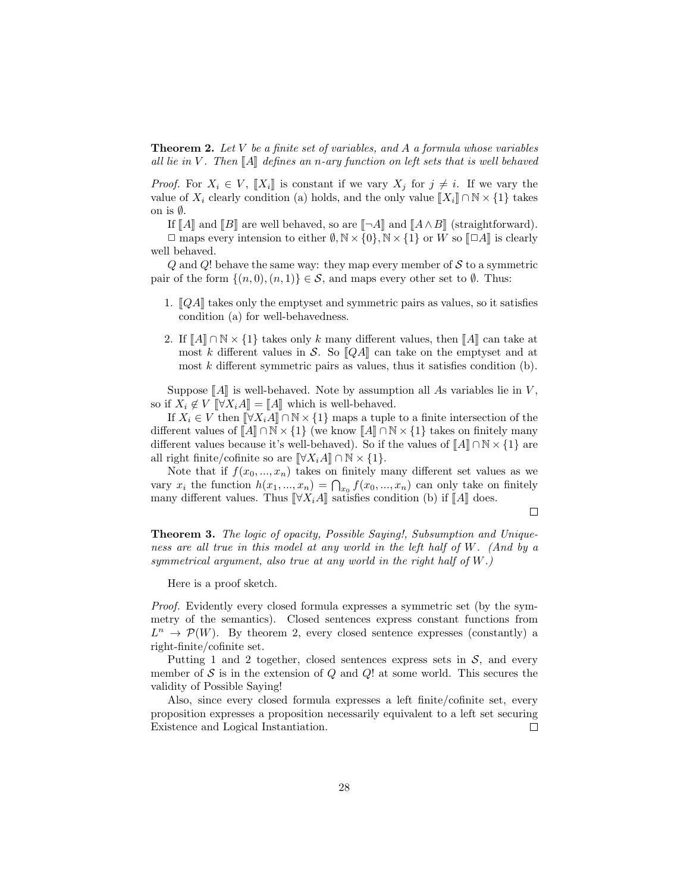**Theorem 2.** Let  $V$  be a finite set of variables, and  $A$  a formula whose variables all lie in V. Then  $\llbracket A \rrbracket$  defines an n-ary function on left sets that is well behaved

*Proof.* For  $X_i \in V$ ,  $\llbracket X_i \rrbracket$  is constant if we vary  $X_j$  for  $j \neq i$ . If we vary the value of  $X_i$  clearly condition (a) holds, and the only value  $\llbracket X_i \rrbracket \cap \mathbb{N} \times \{1\}$  takes on is ∅.

If  $\llbracket A \rrbracket$  and  $\llbracket B \rrbracket$  are well behaved, so are  $\llbracket \neg A \rrbracket$  and  $\llbracket A \wedge B \rrbracket$  (straightforward).

 $\Box$  maps every intension to either  $\emptyset, \mathbb{N} \times \{0\}, \mathbb{N} \times \{1\}$  or W so  $\Box A$  is clearly well behaved.

 $Q$  and  $Q$ ! behave the same way: they map every member of S to a symmetric pair of the form  $\{(n, 0), (n, 1)\}\in \mathcal{S}$ , and maps every other set to  $\emptyset$ . Thus:

- 1.  $\llbracket QA \rrbracket$  takes only the emptyset and symmetric pairs as values, so it satisfies condition (a) for well-behavedness.
- 2. If  $\llbracket A \rrbracket \cap \mathbb{N} \times \{1\}$  takes only k many different values, then  $\llbracket A \rrbracket$  can take at most k different values in S. So  $\llbracket QA \rrbracket$  can take on the emptyset and at most  $k$  different symmetric pairs as values, thus it satisfies condition  $(b)$ .

Suppose  $\llbracket A \rrbracket$  is well-behaved. Note by assumption all As variables lie in V, so if  $X_i \notin V$   $\llbracket \forall X_i A \rrbracket = \llbracket A \rrbracket$  which is well-behaved.

If  $X_i \in V$  then  $\[\forall X_i A\] \cap \mathbb{N} \times \{1\}$  maps a tuple to a finite intersection of the different values of  $\llbracket A \rrbracket \cap \mathbb{N} \times \{1\}$  (we know  $\llbracket A \rrbracket \cap \mathbb{N} \times \{1\}$  takes on finitely many different values because it's well-behaved). So if the values of  $\llbracket A \rrbracket \cap \mathbb{N} \times \{1\}$  are all right finite/cofinite so are  $\llbracket \forall X_i A \rrbracket \cap \mathbb{N} \times \{1\}.$ 

Note that if  $f(x_0, ..., x_n)$  takes on finitely many different set values as we vary  $x_i$  the function  $h(x_1, ..., x_n) = \bigcap_{x_0} f(x_0, ..., x_n)$  can only take on finitely many different values. Thus  $\[\forall X_iA\]$  satisfies condition (b) if  $\[A\]$  does.

 $\Box$ 

**Theorem 3.** The logic of opacity, Possible Saying!, Subsumption and Uniqueness are all true in this model at any world in the left half of W. (And by a symmetrical argument, also true at any world in the right half of  $W$ .)

Here is a proof sketch.

Proof. Evidently every closed formula expresses a symmetric set (by the symmetry of the semantics). Closed sentences express constant functions from  $L^n \to \mathcal{P}(W)$ . By theorem 2, every closed sentence expresses (constantly) a right-finite/cofinite set.

Putting 1 and 2 together, closed sentences express sets in  $\mathcal{S}$ , and every member of  $S$  is in the extension of  $Q$  and  $Q$ ! at some world. This secures the validity of Possible Saying!

Also, since every closed formula expresses a left finite/cofinite set, every proposition expresses a proposition necessarily equivalent to a left set securing Existence and Logical Instantiation.  $\Box$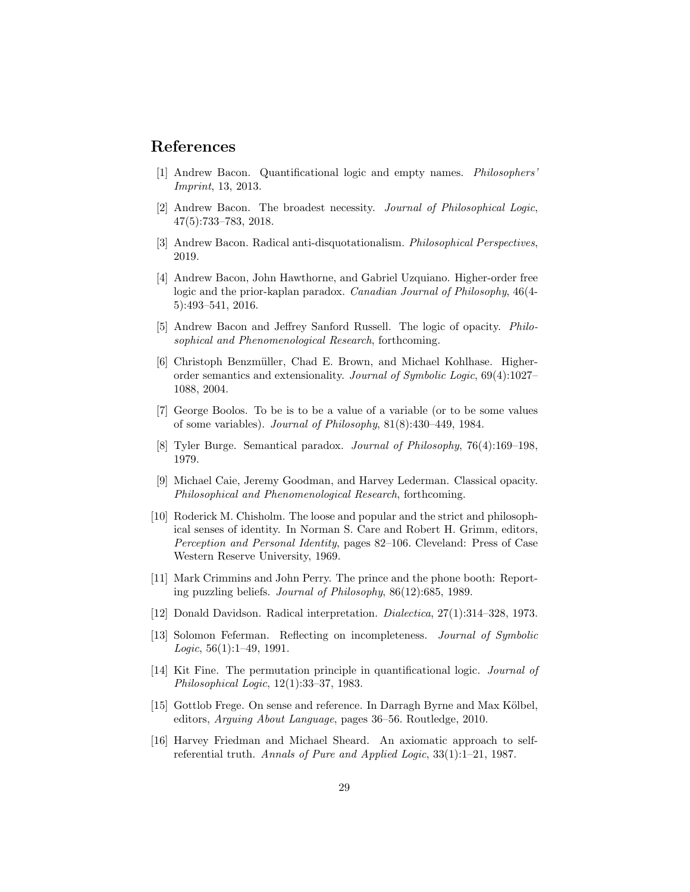### References

- [1] Andrew Bacon. Quantificational logic and empty names. Philosophers' Imprint, 13, 2013.
- [2] Andrew Bacon. The broadest necessity. Journal of Philosophical Logic, 47(5):733–783, 2018.
- [3] Andrew Bacon. Radical anti-disquotationalism. Philosophical Perspectives, 2019.
- [4] Andrew Bacon, John Hawthorne, and Gabriel Uzquiano. Higher-order free logic and the prior-kaplan paradox. Canadian Journal of Philosophy, 46(4- 5):493–541, 2016.
- [5] Andrew Bacon and Jeffrey Sanford Russell. The logic of opacity. Philosophical and Phenomenological Research, forthcoming.
- [6] Christoph Benzmüller, Chad E. Brown, and Michael Kohlhase. Higherorder semantics and extensionality. Journal of Symbolic Logic, 69(4):1027– 1088, 2004.
- [7] George Boolos. To be is to be a value of a variable (or to be some values of some variables). Journal of Philosophy, 81(8):430–449, 1984.
- [8] Tyler Burge. Semantical paradox. Journal of Philosophy, 76(4):169–198, 1979.
- [9] Michael Caie, Jeremy Goodman, and Harvey Lederman. Classical opacity. Philosophical and Phenomenological Research, forthcoming.
- [10] Roderick M. Chisholm. The loose and popular and the strict and philosophical senses of identity. In Norman S. Care and Robert H. Grimm, editors, Perception and Personal Identity, pages 82–106. Cleveland: Press of Case Western Reserve University, 1969.
- [11] Mark Crimmins and John Perry. The prince and the phone booth: Reporting puzzling beliefs. Journal of Philosophy, 86(12):685, 1989.
- [12] Donald Davidson. Radical interpretation. Dialectica, 27(1):314–328, 1973.
- [13] Solomon Feferman. Reflecting on incompleteness. Journal of Symbolic  $Logic, 56(1):1-49, 1991.$
- [14] Kit Fine. The permutation principle in quantificational logic. Journal of Philosophical Logic, 12(1):33–37, 1983.
- [15] Gottlob Frege. On sense and reference. In Darragh Byrne and Max Kölbel, editors, Arguing About Language, pages 36–56. Routledge, 2010.
- [16] Harvey Friedman and Michael Sheard. An axiomatic approach to selfreferential truth. Annals of Pure and Applied Logic, 33(1):1–21, 1987.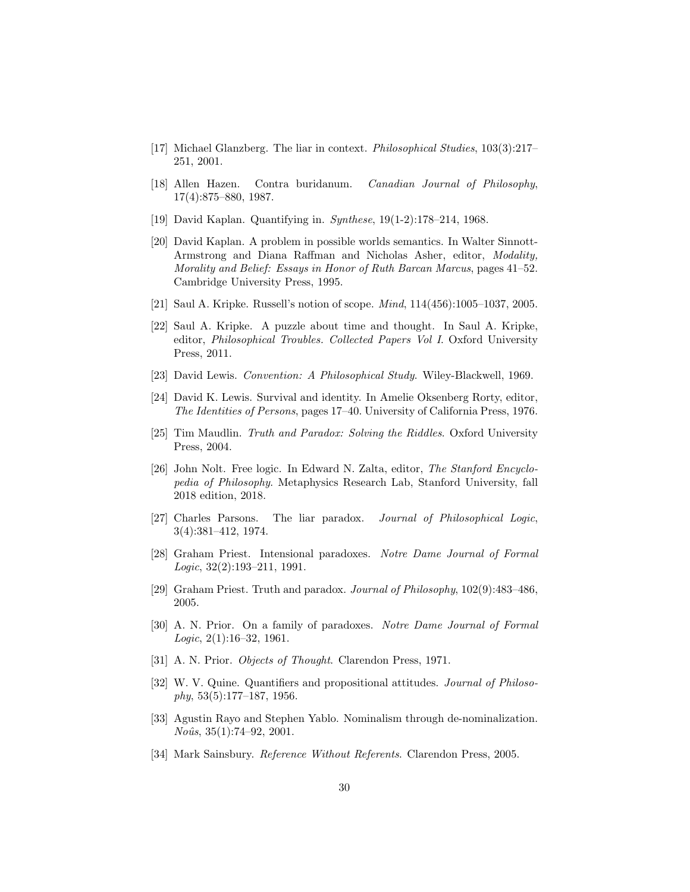- [17] Michael Glanzberg. The liar in context. Philosophical Studies, 103(3):217– 251, 2001.
- [18] Allen Hazen. Contra buridanum. Canadian Journal of Philosophy, 17(4):875–880, 1987.
- [19] David Kaplan. Quantifying in. Synthese, 19(1-2):178–214, 1968.
- [20] David Kaplan. A problem in possible worlds semantics. In Walter Sinnott-Armstrong and Diana Raffman and Nicholas Asher, editor, Modality, Morality and Belief: Essays in Honor of Ruth Barcan Marcus, pages 41–52. Cambridge University Press, 1995.
- [21] Saul A. Kripke. Russell's notion of scope. Mind, 114(456):1005–1037, 2005.
- [22] Saul A. Kripke. A puzzle about time and thought. In Saul A. Kripke, editor, Philosophical Troubles. Collected Papers Vol I. Oxford University Press, 2011.
- [23] David Lewis. Convention: A Philosophical Study. Wiley-Blackwell, 1969.
- [24] David K. Lewis. Survival and identity. In Amelie Oksenberg Rorty, editor, The Identities of Persons, pages 17–40. University of California Press, 1976.
- [25] Tim Maudlin. Truth and Paradox: Solving the Riddles. Oxford University Press, 2004.
- [26] John Nolt. Free logic. In Edward N. Zalta, editor, The Stanford Encyclopedia of Philosophy. Metaphysics Research Lab, Stanford University, fall 2018 edition, 2018.
- [27] Charles Parsons. The liar paradox. Journal of Philosophical Logic, 3(4):381–412, 1974.
- [28] Graham Priest. Intensional paradoxes. Notre Dame Journal of Formal  $Logic, 32(2):193-211, 1991.$
- [29] Graham Priest. Truth and paradox. Journal of Philosophy, 102(9):483–486, 2005.
- [30] A. N. Prior. On a family of paradoxes. Notre Dame Journal of Formal Logic,  $2(1):16-32$ , 1961.
- [31] A. N. Prior. *Objects of Thought*. Clarendon Press, 1971.
- [32] W. V. Quine. Quantifiers and propositional attitudes. Journal of Philoso $phy, 53(5):177-187, 1956.$
- [33] Agustin Rayo and Stephen Yablo. Nominalism through de-nominalization.  $No\hat{u}s$ ,  $35(1):74-92$ ,  $2001$ .
- [34] Mark Sainsbury. Reference Without Referents. Clarendon Press, 2005.